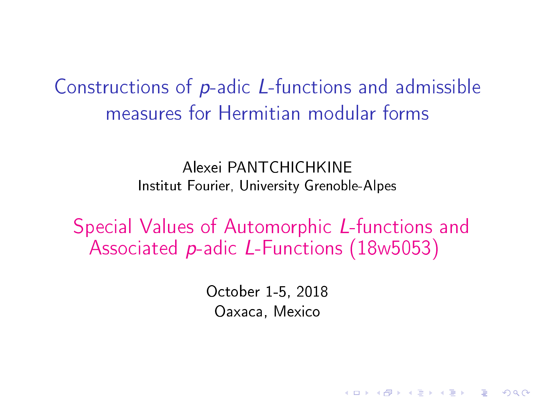<span id="page-0-0"></span>Constructions of p-adic L-functions and admissible measures for Hermitian modular forms

> Alexei PANTCHICHKINE Institut Fourier, University Grenoble-Alpes

Special Values of Automorphic L-functions and Associated p-adic L-Functions (18w5053)

> October 1-5, 2018 Oaxaca, Mexico

> > **KORKA BRADE KORA**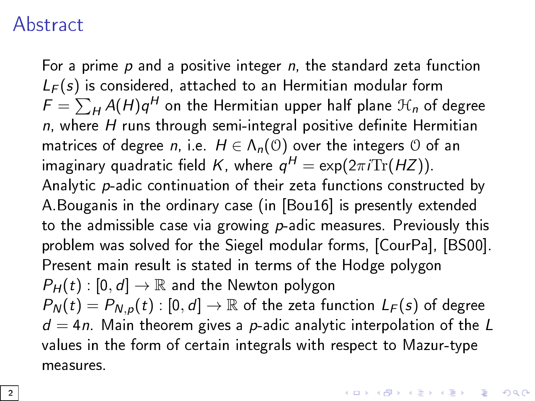## **Abstract**

For a prime  $p$  and a positive integer  $n$ , the standard zeta function  $L_F(s)$  is considered, attached to an Hermitian modular form  $\mathcal{F} = \sum_{H} A(H) q^H$  on the Hermitian upper half plane  $\mathcal{H}_n$  of degree  $n$ , where H runs through semi-integral positive definite Hermitian matrices of degree n, i.e.  $H \in \Lambda_n(\mathcal{O})$  over the integers  $\mathcal O$  of an imaginary quadratic field  $\mathcal{K}$ , where  $\mathcal{q}^H = \exp(2\pi i \text{Tr}(HZ)).$ Analytic p-adic continuation of their zeta functions constructed by A.Bouganis in the ordinary case (in [\[Bou16\]](#page-61-0) is presently extended to the admissible case via growing  $p$ -adic measures. Previously this problem was solved for the Siegel modular forms, [\[CourPa\]](#page-61-1), [\[BS00\]](#page-60-0). Present main result is stated in terms of the Hodge polygon  $P_H(t)$ :  $[0, d] \rightarrow \mathbb{R}$  and the Newton polygon  $P_N(t) = P_{N,D}(t) : [0, d] \rightarrow \mathbb{R}$  of the zeta function  $L_F(s)$  of degree  $d = 4n$ . Main theorem gives a p-adic analytic interpolation of the L values in the form of certain integrals with respect to Mazur-type measures.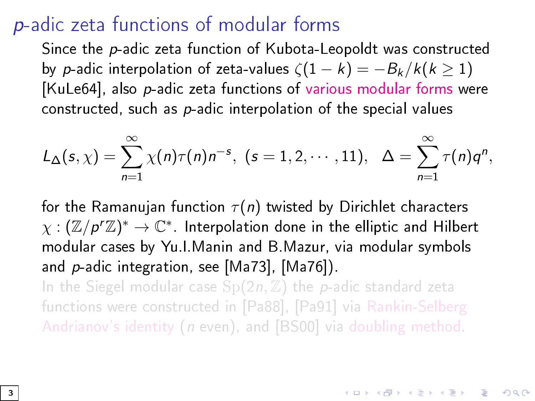## p-adic zeta functions of modular forms

Since the p-adic zeta function of Kubota-Leopoldt was constructed by p-adic interpolation of zeta-values  $\zeta(1-k) = -B_k/k(k > 1)$ [\[KuLe64\]](#page-65-0), also p-adic zeta functions of various modular forms were constructed, such as  $p$ -adic interpolation of the special values

$$
L_{\Delta}(s,\chi)=\sum_{n=1}^{\infty}\chi(n)\tau(n)n^{-s},\ (s=1,2,\cdots,11),\ \ \Delta=\sum_{n=1}^{\infty}\tau(n)q^{n},
$$

for the Ramanujan function  $\tau(n)$  twisted by Dirichlet characters  $\chi: (\mathbb{Z}/p^r\mathbb{Z})^* \to \mathbb{C}^*$ . Interpolation done in the elliptic and Hilbert modular cases by Yu.I.Manin and B.Mazur, via modular symbols and p-adic integration, see [\[Ma73\]](#page-66-0), [\[Ma76\]](#page-66-1)). In the Siegel modular case  $Sp(2n, \mathbb{Z})$  the p-adic standard zeta

functions were constructed in [\[Pa88\]](#page-67-0), [\[Pa91\]](#page-67-1) via Rankin-Selberg Andrianov's identity (n even), and [\[BS00\]](#page-60-0) via doubling method.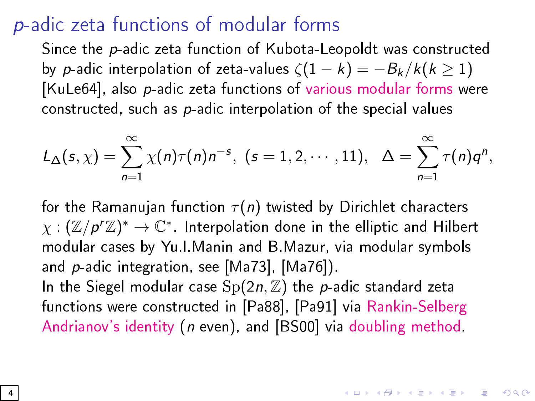## p-adic zeta functions of modular forms

Since the p-adic zeta function of Kubota-Leopoldt was constructed by p-adic interpolation of zeta-values  $\zeta(1-k) = -B_k/k(k > 1)$ [\[KuLe64\]](#page-65-0), also p-adic zeta functions of various modular forms were constructed, such as  $p$ -adic interpolation of the special values

$$
L_{\Delta}(s,\chi)=\sum_{n=1}^{\infty}\chi(n)\tau(n)n^{-s},\ (s=1,2,\cdots,11),\ \ \Delta=\sum_{n=1}^{\infty}\tau(n)q^{n},
$$

for the Ramanujan function  $\tau(n)$  twisted by Dirichlet characters  $\chi: (\mathbb{Z}/p^r\mathbb{Z})^* \to \mathbb{C}^*$ . Interpolation done in the elliptic and Hilbert modular cases by Yu.I.Manin and B.Mazur, via modular symbols and p-adic integration, see [\[Ma73\]](#page-66-0), [\[Ma76\]](#page-66-1)). In the Siegel modular case  $Sp(2n, \mathbb{Z})$  the p-adic standard zeta functions were constructed in [\[Pa88\]](#page-67-0), [\[Pa91\]](#page-67-1) via Rankin-Selberg Andrianov's identity (n even), and [\[BS00\]](#page-60-0) via doubling method.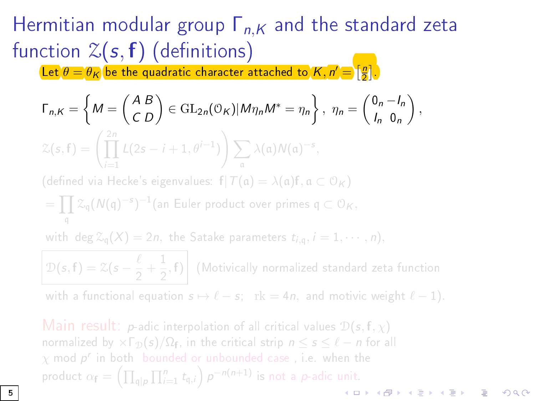Let  $\theta = \theta_K$  be the quadratic character attached to  $K,n' = \left[\frac{n}{2}\right]$ .

$$
\Gamma_{n,K} = \left\{ M = \begin{pmatrix} AB \\ CD \end{pmatrix} \in \mathrm{GL}_{2n}(\mathbb{O}_{K}) | M \eta_{n} M^{*} = \eta_{n} \right\}, \ \eta_{n} = \begin{pmatrix} 0_{n} - I_{n} \\ I_{n} & 0_{n} \end{pmatrix},
$$
  

$$
\mathcal{Z}(s, f) = \left( \prod_{i=1}^{2n} L(2s - i + 1, \theta^{i-1}) \right) \sum_{\alpha} \lambda(\alpha) N(\alpha)^{-s},
$$

(defined via Hecke's eigenvalues:  $f|T(\alpha) = \lambda(\alpha) f, \alpha \subset O_K$ )

$$
= \prod_{\mathfrak{q}} \mathcal{Z}_{\mathfrak{q}}(N(\mathfrak{q})^{-s})^{-1}(\text{an Euler product over primes } \mathfrak{q} \subset \mathcal{O}_K,
$$

with deg  $\mathcal{Z}_{q}(X) = 2n$ , the Satake parameters  $t_{i,q}$ ,  $i = 1, \cdots, n$ ,

 $\mathcal{D}(s, f) = \mathcal{Z}(s - \frac{\ell}{2})$  $\frac{\ell}{2} + \frac{1}{2}$  $\frac{1}{2}$ , **f**) (Motivically normalized standard zeta function

with a functional equation  $s \mapsto \ell - s$ ; rk = 4n, and motivic weight  $\ell - 1$ ).

Main result: p-adic interpolation of all critical values  $\mathcal{D}(s, f, \chi)$ normalized by  $\times \Gamma_{\mathcal{D}}(s)/\Omega_{\mathbf{f}}$ , in the critical strip  $n \leq s \leq \ell - n$  for all  $\chi$  mod  $\boldsymbol{p}^{\boldsymbol{r}}$  in both -bounded or unbounded case , i.e. when the product  $\alpha_{\mathbf{f}} = \left(\prod_{\mathfrak{q} \mid p} \prod_{i=1}^n t_{\mathfrak{q},i}\right) p^{-n(n+1)}$  is not a p-adic unit.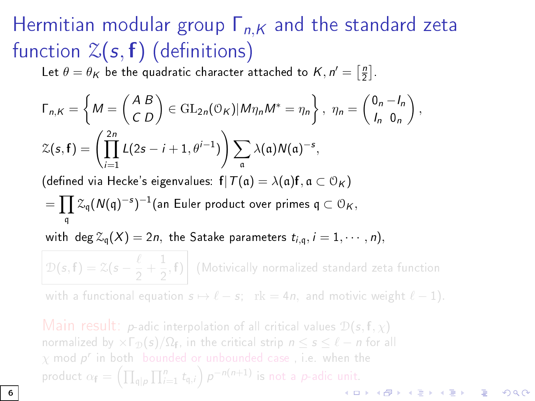Let  $\theta = \theta_{\mathcal{K}}$  be the quadratic character attached to  $\mathcal{K}, n' = \left[ \frac{n}{2} \right].$ 

$$
\Gamma_{n,K} = \left\{ M = \begin{pmatrix} A & B \\ C & D \end{pmatrix} \in \text{GL}_{2n}(\mathbb{O}_K) | M \eta_n M^* = \eta_n \right\}, \ \eta_n = \begin{pmatrix} 0_n - I_n \\ I_n & 0_n \end{pmatrix},
$$
\n
$$
\mathcal{Z}(s, \mathbf{f}) = \left( \prod_{i=1}^{2n} L(2s - i + 1, \theta^{i-1}) \right) \sum_{\mathfrak{a}} \lambda(\mathfrak{a}) N(\mathfrak{a})^{-s},
$$

(defined via Hecke's eigenvalues:  $f|T(\mathfrak{a}) = \lambda(\mathfrak{a})f, \mathfrak{a} \subset \mathfrak{O}_K$ )

$$
= \prod_{\mathfrak{q}} \mathcal{Z}_{\mathfrak{q}}(N(\mathfrak{q})^{-s})^{-1}(\text{an Euler product over primes } \mathfrak{q} \subset \mathcal{O}_K,
$$

with deg  $\mathcal{Z}_{q}(X) = 2n$ , the Satake parameters  $t_{i,q}, i = 1, \cdots, n$ ,

 $\mathcal{D}(s, f) = \mathcal{Z}(s - \frac{\ell}{2})$  $\frac{\ell}{2} + \frac{1}{2}$  $\frac{1}{2}$ , **f**) (Motivically normalized standard zeta function

with a functional equation  $s \mapsto \ell - s$ ; rk = 4n, and motivic weight  $\ell - 1$ ).

Main result: p-adic interpolation of all critical values  $\mathcal{D}(s, f, \chi)$ normalized by  $\times \Gamma_{\mathcal{D}}(s)/\Omega_{\mathbf{f}}$ , in the critical strip  $n \leq s \leq \ell - n$  for all  $\chi$  mod  $\boldsymbol{p}^{\boldsymbol{r}}$  in both -bounded or unbounded case , i.e. when the product  $\alpha_{\mathbf{f}} = \left(\prod_{\mathfrak{q} \mid p} \prod_{i=1}^n t_{\mathfrak{q},i}\right) p^{-n(n+1)}$  is not a p-adic unit.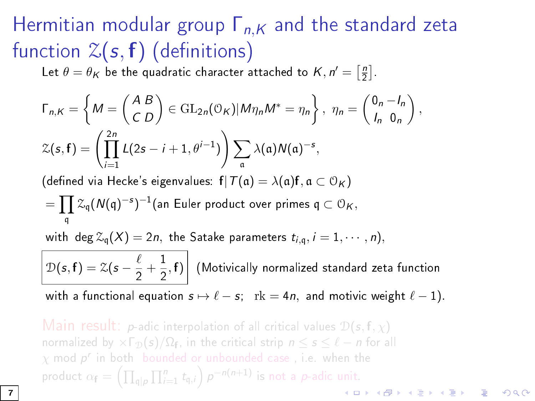Let  $\theta = \theta_{\mathcal{K}}$  be the quadratic character attached to  $\mathcal{K}, n' = \left[ \frac{n}{2} \right].$ 

$$
\Gamma_{n,K} = \left\{ M = \begin{pmatrix} A & B \\ C & D \end{pmatrix} \in \text{GL}_{2n}(\mathbb{O}_K) | M \eta_n M^* = \eta_n \right\}, \ \eta_n = \begin{pmatrix} 0_n - I_n \\ I_n & 0_n \end{pmatrix},
$$
\n
$$
\mathcal{Z}(s, \mathbf{f}) = \left( \prod_{i=1}^{2n} L(2s - i + 1, \theta^{i-1}) \right) \sum_{\mathfrak{a}} \lambda(\mathfrak{a}) N(\mathfrak{a})^{-s},
$$

(defined via Hecke's eigenvalues:  $f|T(\mathfrak{a}) = \lambda(\mathfrak{a})f, \mathfrak{a} \subset \mathfrak{O}_K$ )

$$
= \prod_{\mathfrak{q}} \mathcal{Z}_{\mathfrak{q}}(N(\mathfrak{q})^{-s})^{-1}(\text{an Euler product over primes } \mathfrak{q} \subset \mathfrak{O}_K,
$$

with deg  $\mathcal{Z}_{q}(X) = 2n$ , the Satake parameters  $t_{i,q}, i = 1, \cdots, n$ ,

 $\mathcal{D}(s, \mathbf{f}) = \mathcal{Z}(s - \frac{\ell}{2})$  $\frac{\ell}{2} + \frac{1}{2}$  $\left(\frac{1}{2}, f\right)$  (Motivically normalized standard zeta function

with a functional equation  $s \mapsto \ell - s$ ;  $rk = 4n$ , and motivic weight  $\ell - 1$ ).

Main result: p-adic interpolation of all critical values  $\mathcal{D}(s, f, \chi)$ normalized by  $\times \Gamma_{\mathcal{D}}(s)/\Omega_{\mathbf{f}}$ , in the critical strip  $n \leq s \leq \ell - n$  for all  $\chi$  mod  $\boldsymbol{p}^r$  in both bounded or unbounded case , i.e. when the product  $\alpha_{\mathbf{f}} = \left(\prod_{\mathfrak{q} \mid p} \prod_{i=1}^n t_{\mathfrak{q},i}\right) p^{-n(n+1)}$  is not a p-adic unit.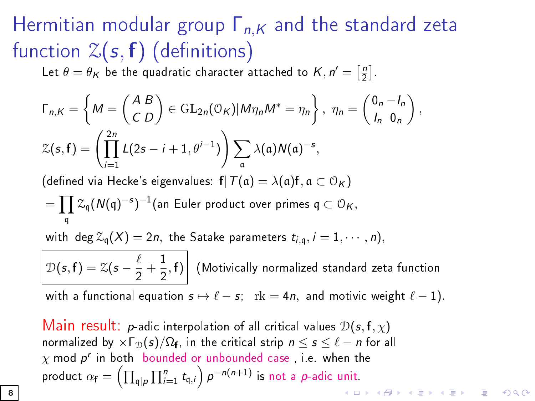Let  $\theta = \theta_{\mathcal{K}}$  be the quadratic character attached to  $\mathcal{K}, n' = \left[ \frac{n}{2} \right].$ 

$$
\Gamma_{n,K} = \left\{ M = \begin{pmatrix} A & B \\ C & D \end{pmatrix} \in \text{GL}_{2n}(\mathbb{O}_K) | M \eta_n M^* = \eta_n \right\}, \ \eta_n = \begin{pmatrix} 0_n - I_n \\ I_n & 0_n \end{pmatrix},
$$
\n
$$
\mathcal{Z}(s, \mathbf{f}) = \left( \prod_{i=1}^{2n} L(2s - i + 1, \theta^{i-1}) \right) \sum_{\mathfrak{a}} \lambda(\mathfrak{a}) N(\mathfrak{a})^{-s},
$$

(defined via Hecke's eigenvalues:  $f|T(\mathfrak{a}) = \lambda(\mathfrak{a})f, \mathfrak{a} \subset \mathcal{O}_K$ )

$$
= \prod_{\mathfrak{q}} \mathcal{Z}_{\mathfrak{q}}(N(\mathfrak{q})^{-s})^{-1}(\text{an Euler product over primes } \mathfrak{q} \subset \mathcal{O}_K,
$$

with deg  $\mathcal{Z}_{q}(X) = 2n$ , the Satake parameters  $t_{i,q}$ ,  $i = 1, \cdots, n$ ,

 $\mathcal{D}(s, \mathbf{f}) = \mathcal{Z}(s - \frac{\ell}{2})$  $\frac{\ell}{2} + \frac{1}{2}$  $\left(\frac{1}{2}, f\right)$  (Motivically normalized standard zeta function

with a functional equation  $s \mapsto \ell - s$ ; rk = 4n, and motivic weight  $\ell - 1$ ).

Main result: p-adic interpolation of all critical values  $\mathcal{D}(\mathbf{s},\mathbf{f},\chi)$ normalized by  $\times \Gamma_{\mathcal{D}}(s)/\Omega_{\mathbf{f}}$ , in the critical strip  $n \leq s \leq \ell - n$  for all  $\chi$  mod  $\boldsymbol{p}^{\boldsymbol{r}}$  in both bounded or unbounded case , i.e. when the product  $\alpha_{\mathbf{f}} = \left(\prod_{\mathfrak{q} \mid p} \prod_{i=1}^n t_{\mathfrak{q},i}\right) p^{-n(n+1)}$  is not a p-adic unit.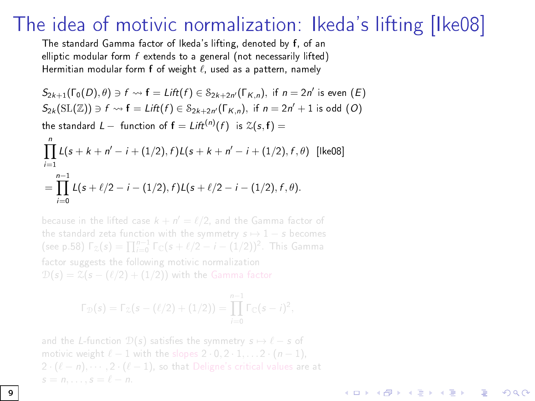#### The idea of motivic normalization: Ikeda's lifting [\[Ike08\]](#page-62-0)

The standard Gamma factor of Ikeda's lifting, denoted by f, of an elliptic modular form  $f$  extends to a general (not necessarily lifted) Hermitian modular form  $f$  of weight  $\ell$ , used as a pattern, namely

$$
S_{2k+1}(\Gamma_0(D), \theta) \ni f \rightsquigarrow f = \text{Lift}(f) \in S_{2k+2n'}(\Gamma_{K,n}), \text{ if } n = 2n' \text{ is even } (E)
$$
  
\n
$$
S_{2k}(\text{SL}(\mathbb{Z})) \ni f \rightsquigarrow f = \text{Lift}(f) \in S_{2k+2n'}(\Gamma_{K,n}), \text{ if } n = 2n' + 1 \text{ is odd } (O)
$$
  
\nthe standard  $L$  - function of  $f = \text{Lift}^{(n)}(f) \text{ is } \mathcal{Z}(s, f) =$   
\n
$$
\prod_{i=1}^{n} L(s + k + n' - i + (1/2), f)L(s + k + n' - i + (1/2), f, \theta) \text{ [[ke08]}
$$
  
\n
$$
= \prod_{i=0}^{n-1} L(s + \ell/2 - i - (1/2), f)L(s + \ell/2 - i - (1/2), f, \theta).
$$

because in the lifted case  $k + n' = \ell/2$ , and the Gamma factor of the standard zeta function with the symmetry  $s \mapsto 1 - s$  becomes (see p.58)  $\Gamma_z(s) = \prod_{i=0}^{n-1} \Gamma_{\mathbb{C}}(s + \ell/2 - i - (1/2))^2$ . This Gamma factor suggests the following motivic normalization  $\mathcal{D}(s) = \mathcal{Z}(s - (\ell/2) + (1/2))$  with the Gamma factor

$$
\Gamma_{\mathcal{D}}(s) = \Gamma_{\mathcal{Z}}(s - (\ell/2) + (1/2)) = \prod_{i=0}^{n-1} \Gamma_{\mathbb{C}}(s - i)^2
$$

and the L-function  $D(s)$  satisfies the symmetry  $s \mapsto \ell - s$  of motivic weight  $\ell - 1$  with the slopes  $2 \cdot 0, 2 \cdot 1, \ldots 2 \cdot (n - 1)$ ,  $s = n, \ldots, s = \ell - n$ .

 $A \equiv 1 + 4 \sqrt{10} + 4 \sqrt{10} + 4 \sqrt{10} + 4 \sqrt{10} + 1$ 

 $\Omega$ 

9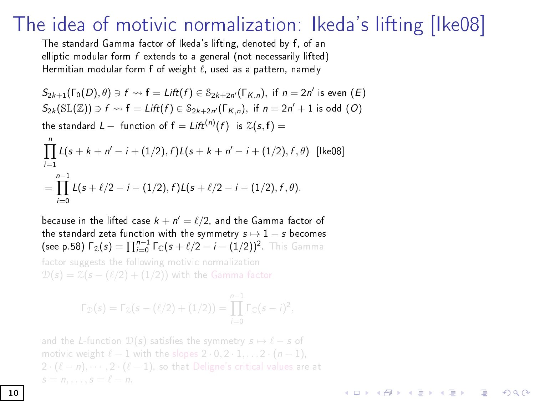#### The idea of motivic normalization: Ikeda's lifting [\[Ike08\]](#page-62-0)

The standard Gamma factor of Ikeda's lifting, denoted by f, of an elliptic modular form  $f$  extends to a general (not necessarily lifted) Hermitian modular form  $f$  of weight  $\ell$ , used as a pattern, namely

$$
S_{2k+1}(\Gamma_0(D), \theta) \ni f \rightsquigarrow f = \text{Lift}(f) \in S_{2k+2n'}(\Gamma_{K,n}), \text{ if } n = 2n' \text{ is even } (E)
$$
  
\n
$$
S_{2k}(\text{SL}(\mathbb{Z})) \ni f \rightsquigarrow f = \text{Lift}(f) \in S_{2k+2n'}(\Gamma_{K,n}), \text{ if } n = 2n' + 1 \text{ is odd } (O)
$$
  
\nthe standard  $L$  - function of  $f = \text{Lift}^{(n)}(f) \text{ is } \mathcal{Z}(s, f) =$   
\n
$$
\prod_{i=1}^{n} L(s + k + n' - i + (1/2), f)L(s + k + n' - i + (1/2), f, \theta) \text{ [[ke08]}
$$
  
\n
$$
= \prod_{i=1}^{n-1} L(s + \ell/2 - i - (1/2), f)L(s + \ell/2 - i - (1/2), f, \theta).
$$

because in the lifted case  $k + n' = \ell/2$ , and the Gamma factor of the standard zeta function with the symmetry  $s \mapsto 1 - s$  becomes (see p.58)  $\Gamma_z(s) = \prod_{i=0}^{n-1} \Gamma_{\mathbb{C}}(s + \ell/2 - i - (1/2))^2$ . This Gamma

factor suggests the following motivic normalization  $\mathcal{D}(s) = \mathcal{Z}(s - (\ell/2) + (1/2))$  with the Gamma factor

$$
\Gamma_{\mathcal{D}}(s) = \Gamma_{\mathcal{Z}}(s - (\ell/2) + (1/2)) = \prod_{i=0}^{n-1} \Gamma_{\mathbb{C}}(s - i)^2,
$$

and the L-function  $D(s)$  satisfies the symmetry  $s \mapsto \ell - s$  of motivic weight  $\ell - 1$  with the slopes  $2 \cdot 0, 2 \cdot 1, \ldots 2 \cdot (n - 1)$ ,

モニー・モン イヨン イヨー

 $\Omega$ 

 $i=0$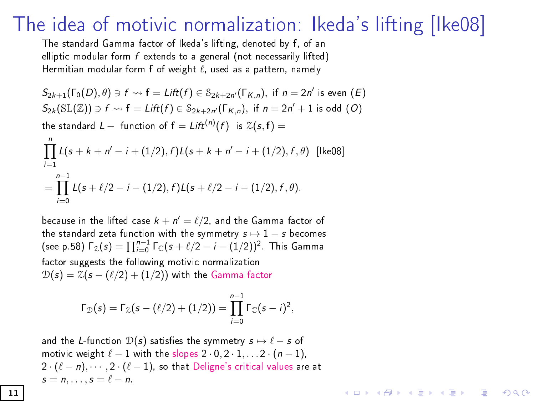#### The idea of motivic normalization: Ikeda's lifting [\[Ike08\]](#page-62-0)

The standard Gamma factor of Ikeda's lifting, denoted by f, of an elliptic modular form  $f$  extends to a general (not necessarily lifted) Hermitian modular form  $f$  of weight  $\ell$ , used as a pattern, namely

$$
S_{2k+1}(\Gamma_0(D), \theta) \ni f \rightsquigarrow f = \text{Lift}(f) \in S_{2k+2n'}(\Gamma_{K,n}), \text{ if } n = 2n' \text{ is even } (E)
$$
  
\n
$$
S_{2k}(\text{SL}(\mathbb{Z})) \ni f \rightsquigarrow f = \text{Lift}(f) \in S_{2k+2n'}(\Gamma_{K,n}), \text{ if } n = 2n' + 1 \text{ is odd } (O)
$$
  
\nthe standard  $L$  - function of  $f = \text{Lift}^{(n)}(f) \text{ is } \mathcal{Z}(s, f) =$   
\n
$$
\prod_{i=1}^{n} L(s + k + n' - i + (1/2), f)L(s + k + n' - i + (1/2), f, \theta) \text{ [[ke08]}
$$
  
\n
$$
= \prod_{i=0}^{n-1} L(s + \ell/2 - i - (1/2), f)L(s + \ell/2 - i - (1/2), f, \theta).
$$

because in the lifted case  $k + n' = \ell/2$ , and the Gamma factor of the standard zeta function with the symmetry  $s \mapsto 1 - s$  becomes (see p.58)  $\Gamma_z(s) = \prod_{i=0}^{n-1} \Gamma_{\mathbb{C}}(s + \ell/2 - i - (1/2))^2$ . This Gamma factor suggests the following motivic normalization  $D(s) = \mathcal{Z}(s - (\ell/2) + (1/2))$  with the Gamma factor

$$
\Gamma_{\mathcal{D}}(s) = \Gamma_{\mathcal{Z}}(s - (\ell/2) + (1/2)) = \prod_{i=0}^{n-1} \Gamma_{\mathbb{C}}(s - i)^2,
$$

and the L-function  $\mathcal{D}(s)$  satisfies the symmetry  $s \mapsto \ell - s$  of motivic weight  $\ell - 1$  with the slopes  $2 \cdot 0, 2 \cdot 1, \ldots 2 \cdot (n - 1)$ ,  $2 \cdot (\ell - n), \cdots, 2 \cdot (\ell - 1)$ , so that Deligne's critical values are at  $s = n, \ldots, s = \ell - n$ .

**KORKA SERKER STRACK**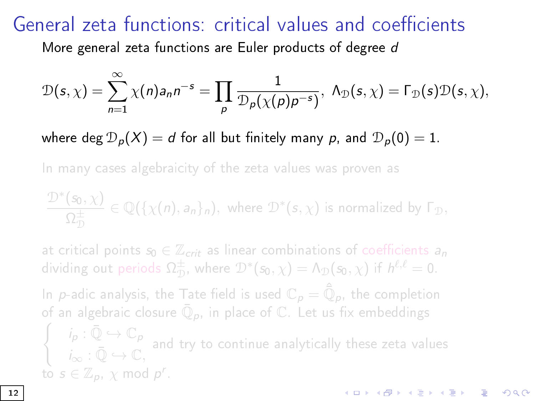## General zeta functions: critical values and coefficients

More general zeta functions are Euler products of degree d

$$
\mathcal{D}(s,\chi)=\sum_{n=1}^{\infty}\chi(n)a_n n^{-s}=\prod_{p}\frac{1}{\mathcal{D}_p(\chi(p)p^{-s})}, \ \Lambda_{\mathcal{D}}(s,\chi)=\Gamma_{\mathcal{D}}(s)\mathcal{D}(s,\chi),
$$

where deg  $D_p(X) = d$  for all but finitely many p, and  $D_p(0) = 1$ .

In many cases algebraicity of the zeta values was proven as

$$
\frac{\mathcal{D}^*(s_0,\chi)}{\Omega_{\mathcal{D}}^{\pm}}\in \mathbb{Q}(\{\chi(n),a_n\}_n), \text{ where } \mathcal{D}^*(s,\chi) \text{ is normalized by } \Gamma_{\mathcal{D}},
$$

at critical points  $s_0 \in \mathbb{Z}_{crit}$  as linear combinations of coefficients  $a_n$ dividing out periods  $\Omega_{\mathcal{D}}^{\pm}$ , where  $\mathcal{D}^*(s_0, \chi) = \Lambda_{\mathcal{D}}(s_0, \chi)$  if  $h^{\ell, \ell} = 0$ .

In  $\rho$ -adic analysis, the Tate field is used  $\mathbb{C}_\rho = \hat{\bar{\mathbb{Q}}}_\rho$ , the completion of an algebraic closure  $\bar{\mathbb{Q}}_p$ , in place of  $\mathbb{C}_+$  Let us fix embeddings  $\int$   $i_p : \bar{\mathbb{Q}} \hookrightarrow \mathbb{C}_p$  $i_{\infty}$  :  $\overline{\mathbb{Q}} \hookrightarrow \mathbb{C}$ , and try to continue analytically these zeta values

**K ロ ▶ K 御 ▶ K 唐 ▶ K 唐 ▶ 『唐 』** 

to  $s \in \mathbb{Z}_p$ ,  $\chi$  mod  $p^r$ .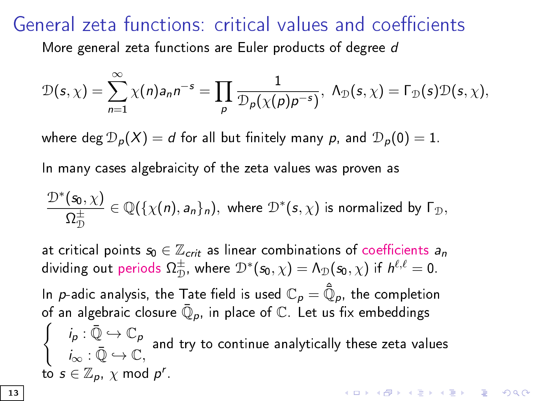## General zeta functions: critical values and coefficients

More general zeta functions are Euler products of degree d

$$
\mathcal{D}(s,\chi)=\sum_{n=1}^{\infty}\chi(n)a_n n^{-s}=\prod_{p}\frac{1}{\mathcal{D}_p(\chi(p)p^{-s})}, \ \Lambda_{\mathcal{D}}(s,\chi)=\Gamma_{\mathcal{D}}(s)\mathcal{D}(s,\chi),
$$

where deg  $D_p(X) = d$  for all but finitely many p, and  $D_p(0) = 1$ .

In many cases algebraicity of the zeta values was proven as

$$
\frac{\mathcal{D}^*(s_0,\chi)}{\Omega_{\mathcal{D}}^{\pm}}\in \mathbb{Q}(\{\chi(n),a_n\}_n), \text{ where } \mathcal{D}^*(s,\chi) \text{ is normalized by } \Gamma_{\mathcal{D}},
$$

at critical points  $s_0 \in \mathbb{Z}_{crit}$  as linear combinations of coefficients  $a_n$ dividing out periods  $\Omega_{\mathcal{D}}^{\pm}$ , where  $\mathcal{D}^*(\mathsf{s}_0, \chi) = \Lambda_{\mathcal{D}}(\mathsf{s}_0, \chi)$  if  $h^{\ell, \ell} = 0$ .

In  $\rho$ -adic analysis, the Tate field is used  $\mathbb{C}_\rho = \hat{\bar{\mathbb{Q}}}_\rho$ , the completion of an algebraic closure  $\bar{\mathbb{Q}}_p$ , in place of  $\mathbb{C}_+$  Let us fix embeddings  $\int$   $i_p : \bar{\mathbb{Q}} \hookrightarrow \mathbb{C}_p$  $i_{\infty}$  :  $\overline{\mathbb{Q}} \hookrightarrow \mathbb{C}$ , and try to continue analytically these zeta values to  $s \in \mathbb{Z}_p$ ,  $\chi$  mod  $p^r$ .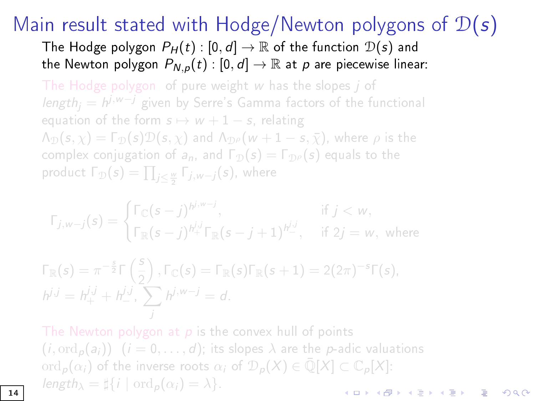The Hodge polygon  $P_H(t) : [0, d] \to \mathbb{R}$  of the function  $\mathcal{D}(s)$  and the Newton polygon  $P_{N,p}(t) : [0, d] \rightarrow \mathbb{R}$  at p are piecewise linear:

The Hodge polygon of pure weight w has the slopes *j* of *length<sub>j</sub>* =  $h^{j,w-j}$  given by Serre's Gamma factors of the functional equation of the form  $s \mapsto w + 1 - s$ , relating  $\Lambda_{\mathcal{D}}(s,\chi) = \Gamma_{\mathcal{D}}(s)\mathcal{D}(s,\chi)$  and  $\Lambda_{\mathcal{D}}(\omega + 1 - s, \bar{\chi})$ , where  $\rho$  is the complex conjugation of  $a_n$ , and  $\Gamma_{\mathcal{D}}(s) = \Gamma_{\mathcal{D}^{\rho}}(s)$  equals to the product  $\Gamma_{\mathcal{D}}(s)=\prod_{j\leq \frac{w}{2}}\Gamma_{j,w-j}(s)$ , where

$$
\Gamma_{j,w-j}(s) = \begin{cases} \Gamma_{\mathbb{C}}(s-j)^{h^{j,w-j}}, & \text{if } j < w, \\ \Gamma_{\mathbb{R}}(s-j)^{h^{j,j}_{+}} \Gamma_{\mathbb{R}}(s-j+1)^{h^{j,j}_{-}}, & \text{if } 2j = w, \text{ where } \end{cases}
$$

$$
\Gamma_{\mathbb{R}}(s) = \pi^{-\frac{s}{2}} \Gamma\left(\frac{s}{2}\right), \Gamma_{\mathbb{C}}(s) = \Gamma_{\mathbb{R}}(s) \Gamma_{\mathbb{R}}(s+1) = 2(2\pi)^{-s} \Gamma(s),
$$
  
\n
$$
h^{j,j} = h^{j,j}_+ + h^{j,j}_-, \sum_j h^{j,w-j} = d.
$$

The Newton polygon at  $p$  is the convex hull of points  $(i, \text{ord}_p(a_i))$   $(i = 0, \ldots, d)$ ; its slopes  $\lambda$  are the p-adic valuations ord<sub>p</sub> $(\alpha_i)$  of the inverse roots  $\alpha_i$  of  $\mathcal{D}_p(X) \in \overline{\mathbb{Q}}[X] \subset \mathbb{C}_p[X]$ : length<sub> $\lambda = \sharp \{i \mid \text{ord}_p(\alpha_i) = \lambda\}.$ </sub>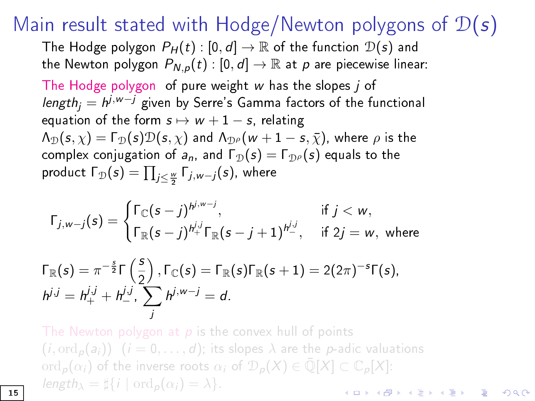The Hodge polygon  $P_H(t) : [0, d] \to \mathbb{R}$  of the function  $\mathcal{D}(s)$  and the Newton polygon  $P_{N,p}(t) : [0, d] \rightarrow \mathbb{R}$  at p are piecewise linear: The Hodge polygon of pure weight w has the slopes j of *length<sub>j</sub>*  $= h^{j,w-j}$  *g*iven by Serre's Gamma factors of the functional equation of the form  $s \mapsto w + 1 - s$ , relating  $\Lambda_{\mathcal{D}}(s,\chi)=\Gamma_{\mathcal{D}}(s)\mathcal{D}(s,\chi)$  and  $\Lambda_{\mathcal{D}}(\omega+1-s,\bar{\chi})$ , where  $\rho$  is the complex conjugation of  $a_n$ , and  $\Gamma_{\mathcal{D}}(s) = \Gamma_{\mathcal{D}^{\rho}}(s)$  equals to the product  $\Gamma_{\mathcal{D}}(\boldsymbol{s}) = \prod_{j\leq \frac{w}{2}} \Gamma_{j,w-j}(\boldsymbol{s})$ , where

$$
\Gamma_{j,w-j}(s) = \begin{cases} \Gamma_{\mathbb{C}}(s-j)^{h^{j,w-j}}, & \text{if } j < w, \\ \Gamma_{\mathbb{R}}(s-j)^{h^{j,j}_+} \Gamma_{\mathbb{R}}(s-j+1)^{h^{j,j}_-}, & \text{if } 2j = w, \text{ where} \end{cases}
$$

$$
\Gamma_{\mathbb{R}}(s) = \pi^{-\frac{s}{2}} \Gamma\left(\frac{s}{2}\right), \Gamma_{\mathbb{C}}(s) = \Gamma_{\mathbb{R}}(s) \Gamma_{\mathbb{R}}(s+1) = 2(2\pi)^{-s} \Gamma(s),
$$
  
\n
$$
h^{j,j} = h^{j,j}_+ + h^{j,j}_-, \sum_j h^{j,w-j} = d.
$$

The Newton polygon at  $p$  is the convex hull of points  $(i, \text{ord}_p(a_i))$   $(i = 0, \ldots, d)$ ; its slopes  $\lambda$  are the p-adic valuations ord<sub>p</sub> $(\alpha_i)$  of the inverse roots  $\alpha_i$  of  $\mathcal{D}_p(X) \in \overline{\mathbb{Q}}[X] \subset \mathbb{C}_p[X]$ : length<sub> $\lambda$ </sub> =  $\sharp \{i \mid \text{ord}_p(\alpha_i) = \lambda\}.$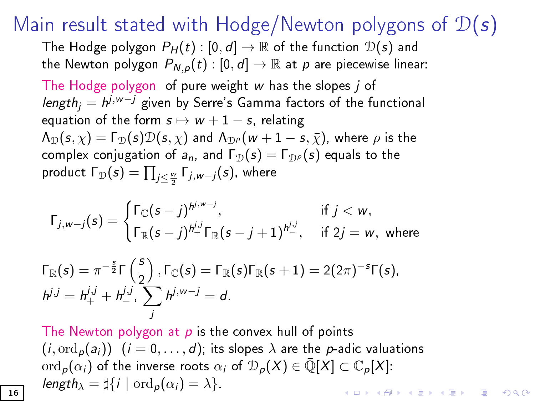The Hodge polygon  $P_H(t) : [0, d] \to \mathbb{R}$  of the function  $\mathcal{D}(s)$  and the Newton polygon  $P_{N,p}(t) : [0, d] \rightarrow \mathbb{R}$  at p are piecewise linear: The Hodge polygon of pure weight w has the slopes j of *length<sub>j</sub>*  $= h^{j,w-j}$  *g*iven by Serre's Gamma factors of the functional equation of the form  $s \mapsto w + 1 - s$ , relating  $\Lambda_{\mathcal{D}}(s,\chi)=\Gamma_{\mathcal{D}}(s)\mathcal{D}(s,\chi)$  and  $\Lambda_{\mathcal{D}}(\omega+1-s,\bar{\chi})$ , where  $\rho$  is the complex conjugation of  $a_n$ , and  $\Gamma_{\mathcal{D}}(s) = \Gamma_{\mathcal{D}^{\rho}}(s)$  equals to the product  $\Gamma_{\mathcal{D}}(\boldsymbol{s}) = \prod_{j\leq \frac{w}{2}} \Gamma_{j,w-j}(\boldsymbol{s})$ , where

$$
\Gamma_{j,w-j}(s) = \begin{cases} \Gamma_{\mathbb{C}}(s-j)^{h^{j,w-j}}, & \text{if } j < w, \\ \Gamma_{\mathbb{R}}(s-j)^{h^{j,j}_+} \Gamma_{\mathbb{R}}(s-j+1)^{h^{j,j}_-}, & \text{if } 2j = w, \text{ where} \end{cases}
$$

$$
\Gamma_{\mathbb{R}}(s) = \pi^{-\frac{s}{2}} \Gamma\left(\frac{s}{2}\right), \Gamma_{\mathbb{C}}(s) = \Gamma_{\mathbb{R}}(s) \Gamma_{\mathbb{R}}(s+1) = 2(2\pi)^{-s} \Gamma(s),
$$
  
\n
$$
h^{j,j} = h^{j,j}_+ + h^{j,j}_-, \sum_j h^{j,w-j} = d.
$$

The Newton polygon at  $p$  is the convex hull of points  $(i, \text{ord}_p(a_i))$   $(i = 0, \ldots, d)$ ; its slopes  $\lambda$  are the p-adic valuations ord<sub>p</sub> $(\alpha_i)$  of the inverse roots  $\alpha_i$  of  $\mathcal{D}_p(X) \in \overline{\mathbb{Q}}[X] \subset \mathbb{C}_p[X]$ : length<sub> $\lambda$ </sub> =  $\sharp \{i \mid \text{ord}_p(\alpha_i) = \lambda\}.$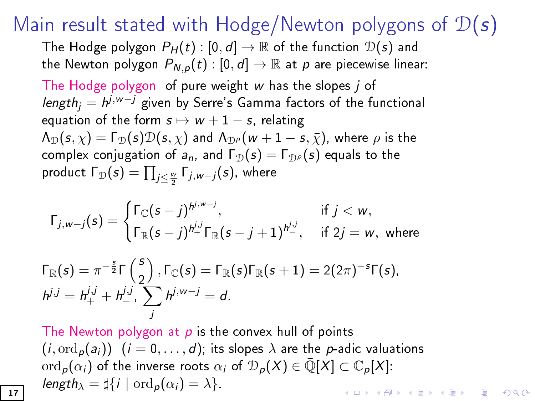The Hodge polygon  $P_H(t) : [0, d] \to \mathbb{R}$  of the function  $\mathcal{D}(s)$  and the Newton polygon  $P_{N,p}(t) : [0, d] \rightarrow \mathbb{R}$  at p are piecewise linear: The Hodge polygon of pure weight w has the slopes j of *length<sub>j</sub>*  $= h^{j,w-j}$  *g*iven by Serre's Gamma factors of the functional equation of the form  $s \mapsto w + 1 - s$ , relating  $\Lambda_{\mathcal{D}}(s,\chi)=\Gamma_{\mathcal{D}}(s)\mathcal{D}(s,\chi)$  and  $\Lambda_{\mathcal{D}}(\omega+1-s,\bar{\chi})$ , where  $\rho$  is the complex conjugation of  $a_n$ , and  $\Gamma_{\mathcal{D}}(s) = \Gamma_{\mathcal{D}^{\rho}}(s)$  equals to the product  $\Gamma_{\mathcal{D}}(\boldsymbol{s}) = \prod_{j\leq \frac{w}{2}} \Gamma_{j,w-j}(\boldsymbol{s})$ , where

$$
\Gamma_{j,w-j}(s) = \begin{cases} \Gamma_{\mathbb{C}}(s-j)^{h^{j,w-j}}, & \text{if } j < w, \\ \Gamma_{\mathbb{R}}(s-j)^{h^{j,j}_+} \Gamma_{\mathbb{R}}(s-j+1)^{h^{j,j}_-}, & \text{if } 2j = w, \text{ where} \end{cases}
$$

$$
\Gamma_{\mathbb{R}}(s) = \pi^{-\frac{s}{2}} \Gamma\left(\frac{s}{2}\right), \Gamma_{\mathbb{C}}(s) = \Gamma_{\mathbb{R}}(s) \Gamma_{\mathbb{R}}(s+1) = 2(2\pi)^{-s} \Gamma(s),
$$
  
\n
$$
h^{j,j} = h^{j,j}_+ + h^{j,j}_-, \sum_j h^{j,w-j} = d.
$$

The Newton polygon at  $p$  is the convex hull of points  $(i, \text{ord}_p(a_i))$   $(i = 0, \ldots, d)$ ; its slopes  $\lambda$  are the p-adic valuations ord<sub>p</sub> $(\alpha_i)$  of the inverse roots  $\alpha_i$  of  $\mathcal{D}_p(X) \in \overline{\mathbb{Q}}[X] \subset \mathbb{C}_p[X]$ : length<sub> $\lambda$ </sub> =  $\sharp \{i \mid \text{ord}_p(\alpha_i) = \lambda\}.$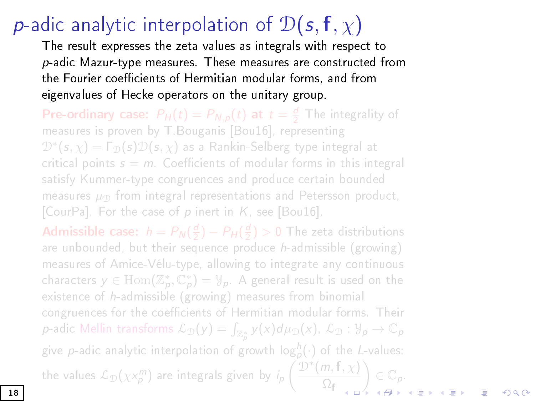# **p**-adic analytic interpolation of  $\mathcal{D}(s, f, \chi)$

The result expresses the zeta values as integrals with respect to p-adic Mazur-type measures. These measu[res are co](#page-61-0)nstructed from the Fourier coefficients of Hermitian modular forms, and from eigenvalues of Hecke operators on the unitary group.

**Pre-ordinary case:**  $P_H(t) = P_{N,p}(t)$  at  $t = \frac{d}{2}$  The integrality of measures is proven by T.Bouganis [Bou16], representing  $\mathcal{D}^*(\pmb{s}, \chi) = \mathsf{\Gamma}_\mathcal{D}(\pmb{s}) \mathcal{D}(\pmb{s}, \chi)$  as a Rankin-Selberg type integral at [critical poi](#page-61-1)nts  $s = m$ . Coefficients of modular forms i[n this inte](#page-61-0)gral satisfy Kummer-type congruences and produce certain bounded measures  $\mu_{\mathcal{D}}$  from integral representations and Petersson product, [CourPa]. For the case of  $p$  inert in  $K$ , see [Bou16].

**Admissible case:**  $h = P_N(\frac{d}{2}) - P_H(\frac{d}{2}) > 0$  The zeta distributions are unbounded, but their sequence produce  $h$ -admissible (growing) measures of Amice-Vélu-type, allowing to integrate any continuous characters  $y \in \text{Hom}(\mathbb{Z}_p^*, \mathbb{C}_p^*) = \mathcal{Y}_p$ . A general result is used on the existence of h-admissible (growing) measures from binomial congruences for the coefficients of Hermitian modular forms. Their  $p$ -adic Mellin transforms  $\mathcal{L}_\mathfrak{D}(y) = \int_{\mathbb{Z}_p^*} y(x) d\mu_\mathfrak{D}(x)$ ,  $\mathcal{L}_\mathfrak{D} : \mathcal{Y}_p \to \mathbb{C}_p$ give  $p$ -adic analytic interpolation of growth log ${}^b_p(\cdot)$  of the L-values: the values  $\mathcal{L}_{\mathcal{D}}(\chi \chi_p^m)$  are integrals given by  $i_p \left( \frac{\mathcal{D}^*(m, \mathsf{f}, \chi)}{\mathcal{D}_{\mathsf{c}}}\right)$  $\Omega_{\mathrm{f}}$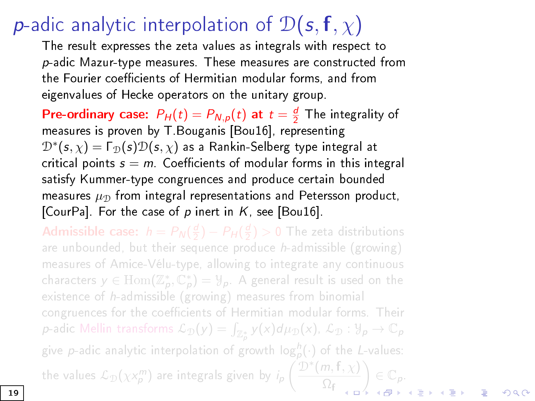## **p**-adic analytic interpolation of  $\mathcal{D}(s, f, \chi)$

The result expresses the zeta values as integrals with respect to p-adic Mazur-type measures. These measu[res are co](#page-61-0)nstructed from the Fourier coefficients of Hermitian modular forms, and from eigenvalues of Hecke operators on the unitary group.

**Pre-ordinary case:**  $P_H(t) = P_{N,p}(t)$  at  $t = \frac{d}{2}$  The integrality of measures is proven by T.Bouganis [Bou16], representing  $\mathcal{D}^*(\bm{s}, \chi) = \bm{\Gamma}_{\mathcal{D}}(\bm{s}) \mathcal{D}(\bm{s}, \chi)$  as a Rankin-Selberg type integral at [critical poi](#page-61-1)nts  $s = m$ . Coefficients of modular forms i[n this inte](#page-61-0)gral satisfy Kummer-type congruences and produce certain bounded measures  $\mu_{\mathcal{D}}$  from integral representations and Petersson product, [CourPa]. For the case of  $p$  inert in  $K$ , see [Bou16].

**Admissible case:**  $h = P_N(\frac{d}{2}) - P_H(\frac{d}{2}) > 0$  The zeta distributions are unbounded, but their sequence produce  $h$ -admissible (growing) measures of Amice-Vélu-type, allowing to integrate any continuous characters  $y \in \text{Hom}(\mathbb{Z}_p^*, \mathbb{C}_p^*) = \mathcal{Y}_p$ . A general result is used on the existence of h-admissible (growing) measures from binomial congruences for the coefficients of Hermitian modular forms. Their  $p$ -adic Mellin transforms  $\mathcal{L}_\mathfrak{D}(y) = \int_{\mathbb{Z}_p^*} y(x) d\mu_\mathfrak{D}(x)$ ,  $\mathcal{L}_\mathfrak{D} : \mathcal{Y}_p \to \mathbb{C}_p$ give  $p$ -adic analytic interpolation of growth log ${}^b_p(\cdot)$  of the L-values: the values  $\mathcal{L}_{\mathcal{D}}(\chi \chi_p^m)$  are integrals given by  $i_p \left( \frac{\mathcal{D}^*(m, \mathsf{f}, \chi)}{\mathcal{D}_{\mathsf{c}}}\right)$  $\Omega_{\mathrm{f}}$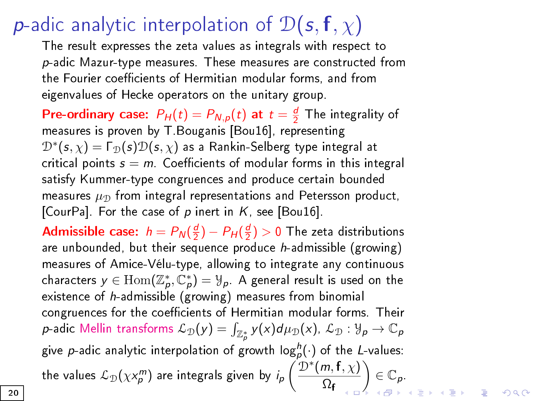## **p**-adic analytic interpolation of  $\mathcal{D}(s, f, \chi)$

The result expresses the zeta values as integrals with respect to p-adic Mazur-type measures. These measu[res are co](#page-61-0)nstructed from the Fourier coefficients of Hermitian modular forms, and from eigenvalues of Hecke operators on the unitary group.

**Pre-ordinary case:**  $P_H(t) = P_{N,p}(t)$  at  $t = \frac{d}{2}$  The integrality of measures is proven by T.Bouganis [Bou16], representing  $\mathcal{D}^*(\bm{s}, \chi) = \bm{\Gamma}_{\mathcal{D}}(\bm{s}) \mathcal{D}(\bm{s}, \chi)$  as a Rankin-Selberg type integral at [critical poi](#page-61-1)nts  $s = m$ . Coefficients of modular forms i[n this inte](#page-61-0)gral satisfy Kummer-type congruences and produce certain bounded measures  $\mu_{\mathcal{D}}$  from integral representations and Petersson product, [CourPa]. For the case of  $p$  inert in  $K$ , see [Bou16].

**Admissible case**:  $h = P_N(\frac{d}{2}) - P_H(\frac{d}{2}) > 0$  The zeta distributions are unbounded, but their sequence produce  $h$ -admissible (growing) measures of Amice-Vélu-type, allowing to integrate any continuous characters  $y \in \text{Hom}(\mathbb{Z}_p^*, \mathbb{C}_p^*) = \mathcal{Y}_p$ . A general result is used on the existence of  $h$  admissible (growing) measures from binomial congruences for the coefficients of Hermitian modular forms. Their  $p$ -adic Mellin transforms  $\mathcal{L}_\mathcal{D}(y) = \int_{\mathbb{Z}_p^*} y(x) d\mu_\mathcal{D}(x)$ ,  $\mathcal{L}_\mathcal{D}: \mathcal{Y}_p \to \mathbb{C}_p$ give  $p$ -adic analytic interpolation of growth  $\mathsf{log}^h_p(\cdot)$  of the L-values: the values  $\mathcal{L}_{\mathcal{D}}(\chi \chi_p^m)$  are integrals given by  $i_p \left( \frac{\mathcal{D}^*(m, \mathbf{f}, \chi)}{\Omega_n} \right)$  $\Omega_{\mathbf{f}}$  $\Big) \in \mathbb{C}_p.$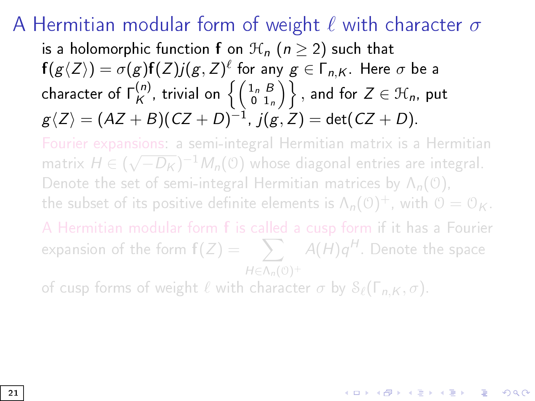## A Hermitian modular form of weight  $\ell$  with character  $\sigma$

is a holomorphic function f on  $\mathcal{H}_n$  ( $n > 2$ ) such that  $\mathsf{f}(g\langle Z\rangle)=\sigma(g)\mathsf{f}(Z)j(g,Z)^\ell$  for any  $g\in \mathsf{\Gamma}_{n,K}.$  Here  $\sigma$  be a character of  $\mathsf{\Gamma}^{(n)}_{\mathsf{K}}$  $\mathcal{H}_{\mathcal{K}}^{(n)},$  trivial on  $\left\{\left(\begin{smallmatrix} 1_{n}&B\0&1_{n} \end{smallmatrix}\right)\right\},$  and for  $Z\in\mathfrak{H}_{n},$  put  $g\langle Z\rangle=(AZ+B)(CZ+D)^{-1}$ ,  $j(g,Z)=\det(CZ+D).$ 

Fourier expansions: a semi-integral Hermitian matrix is a Hermitian √ matrix  $H \in (\sqrt{-D_K})^{-1} M_n(\mathcal{O})$  whose diagonal entries are integral. Denote the set of semi-integral Hermitian matrices by  $\Lambda_n(0)$ , the subset of its positive definite elements is  $\Lambda_n(\mathfrak{O})^+$ , with  $\mathfrak{O}=\mathfrak{O}_K.$ 

A Hermitian modular form f is called a cusp form if it has a Fourier expansion of the form  $\mathrm{f}(Z) = -\sum_{\alpha} A(H) q^{H}.$  Denote the space  $H \in \Lambda_n(\mathcal{O})^+$ 

of cusp forms of weight  $\ell$  with character  $\sigma$  by  $\mathcal{S}_{\ell}(\Gamma_{n,K}, \sigma)$ .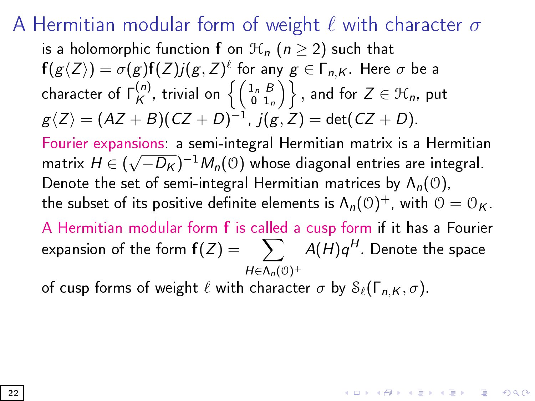## A Hermitian modular form of weight  $\ell$  with character  $\sigma$

is a holomorphic function f on  $\mathcal{H}_n$  ( $n \geq 2$ ) such that  $\mathsf{f}(g\langle Z\rangle)=\sigma(g)\mathsf{f}(Z)j(g,Z)^\ell$  for any  $g\in \mathsf{\Gamma}_{n,K}.$  Here  $\sigma$  be a character of  $\mathsf{\Gamma}^{(n)}_{\mathsf{K}}$  $\mathcal{H}_{\mathcal{K}}^{(n)},$  trivial on  $\left\{\left(\begin{smallmatrix} 1_{n}&B\0&1_{n} \end{smallmatrix}\right)\right\},$  and for  $Z\in\mathfrak{H}_{n},$  put  $g\langle Z\rangle=(AZ+B)(CZ+D)^{-1}$ ,  $j(g,Z)=\det(CZ+D).$ Fourier expansions: a semi-integral Hermitian matrix is a Hermitian matrix  $H$   $\in$   $($ √  $\overline{-D_K})^{-1}\mathcal{M}_n(\mathfrak{O})$  whose diagonal entries are integral. Denote the set of semi-integral Hermitian matrices by  $\Lambda_n(\mathcal{O})$ , the subset of its positive definite elements is  $\Lambda_n(\mathfrak{O})^+$ , with  $\mathfrak{O}=\mathfrak{O}_K.$ A Hermitian modular form f is called a cusp form if it has a Fourier expansion of the form  $\mathsf{f}(Z) = -\sum_{\mathcal{A}} A(\mathcal{H}) \mathsf{q}^{\mathcal{H}}.$  Denote the space  $H \in \Lambda_n(\mathcal{O})^+$ 

**KORKAR KERKER DRA** 

of cusp forms of weight  $\ell$  with character  $\sigma$  by  $\mathcal{S}_{\ell}(\Gamma_{n,K}, \sigma)$ .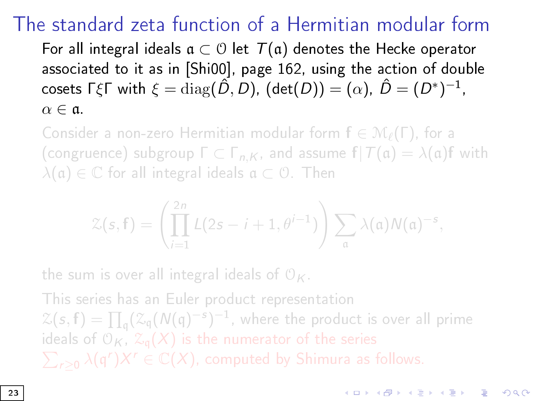## The standard zeta function of a Hermitian modular form

For all integral ideals  $a \subset \mathcal{O}$  let  $\mathcal{T}(a)$  denotes the Hecke operator associated to it as in [\[Shi00\]](#page-69-0), page 162, using the action of double cosets ΓξΓ with  $\xi = \mathrm{diag}(\hat{D},D)$ ,  $(\mathsf{det}(D)) = (\alpha)$ ,  $\hat{D} = (D^*)^{-1}$ ,  $\alpha \in \mathfrak{a}$ .

Consider a non-zero Hermitian modular form  $f \in \mathcal{M}_{\ell}(\Gamma)$ , for a (congruence) subgroup  $\Gamma \subset \Gamma_{n,K}$ , and assume  $\mathbf{f} | \mathcal{T}(\mathfrak{a}) = \lambda(\mathfrak{a})\mathbf{f}$  with  $\lambda(\mathfrak{a}) \in \mathbb{C}$  for all integral ideals  $\mathfrak{a} \subset \mathcal{O}$ . Then

$$
\mathcal{Z}(s,\mathbf{f})=\left(\prod_{i=1}^{2n}L(2s-i+1,\theta^{i-1})\right)\sum_{\mathfrak{a}}\lambda(\mathfrak{a})N(\mathfrak{a})^{-s},
$$

the sum is over all integral ideals of  $\mathcal{O}_K$ .

This series has an Euler product representation  $\mathcal{Z}(\pmb{s},\pmb{\mathsf{f}}) = \prod_\mathsf{q} (\mathcal{Z}_\mathsf{q}(\mathcal{N}(\mathsf{q})^{-\pmb{s}})^{-1},$  where the product is over all prime ideals of  $\mathfrak{O}_K$ ,  $\mathfrak{X}_\mathfrak{q}(X)$  is the numerator of the series  $\sum_{r\geq 0}\lambda(\frak{q}^r)X^r\in\mathbb{C}(X),$  computed by Shimura as follows.

**KORKAR KERKER EL VOLO**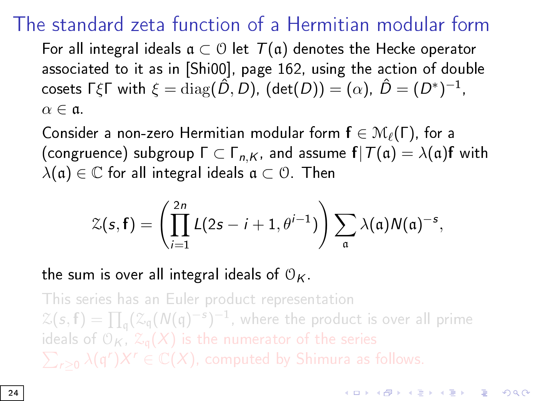## The standard zeta function of a Hermitian modular form

For all integral ideals  $a \subset \mathcal{O}$  let  $\mathcal{T}(a)$  denotes the Hecke operator associated to it as in [\[Shi00\]](#page-69-0), page 162, using the action of double cosets ΓξΓ with  $\xi = \mathrm{diag}(\hat{D},D)$ ,  $(\mathsf{det}(D)) = (\alpha)$ ,  $\hat{D} = (D^*)^{-1}$ ,  $\alpha \in \mathfrak{a}$ .

Consider a non-zero Hermitian modular form  $f \in \mathcal{M}_{\ell}(\Gamma)$ , for a (congruence) subgroup  $\Gamma \subset \Gamma_{n,K}$ , and assume  $f|T(\mathfrak{a}) = \lambda(\mathfrak{a})f$  with  $\lambda(\mathfrak{a}) \in \mathbb{C}$  for all integral ideals  $\mathfrak{a} \subset \mathcal{O}$ . Then

$$
\mathcal{Z}(\mathbf{s},\mathbf{f})=\left(\prod_{i=1}^{2n}L(2\mathbf{s}-i+1,\theta^{i-1})\right)\sum_{\mathfrak{a}}\lambda(\mathfrak{a})N(\mathfrak{a})^{-\mathbf{s}},
$$

the sum is over all integral ideals of  $\mathcal{O}_K$ .

This series has an Euler product representation  $\mathcal{Z}(\pmb{s},\pmb{\mathsf{f}}) = \prod_\mathsf{q} (\mathcal{Z}_\mathsf{q}(\mathcal{N}(\mathsf{q})^{-\pmb{s}})^{-1},$  where the product is over all prime ideals of  $\mathfrak{O}_K$ ,  $\mathfrak{X}_\mathfrak{q}(X)$  is the numerator of the series  $\sum_{r\geq 0}\lambda(\frak{q}^r)X^r\in\mathbb{C}(X),$  computed by Shimura as follows.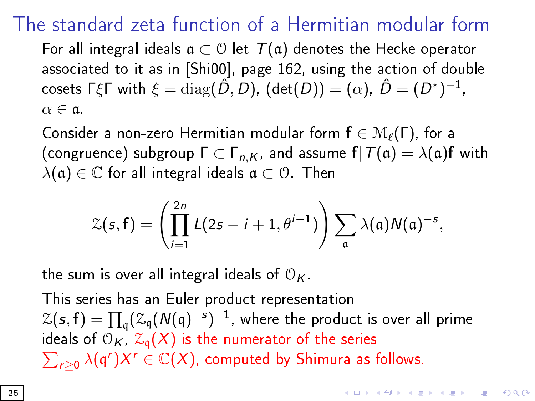## The standard zeta function of a Hermitian modular form

For all integral ideals  $\mathfrak{a} \subset \mathfrak{O}$  let  $\mathcal{T}(\mathfrak{a})$  denotes the Hecke operator associated to it as in [\[Shi00\]](#page-69-0), page 162, using the action of double cosets ΓξΓ with  $\xi = \mathrm{diag}(\hat{D},D)$ ,  $(\mathsf{det}(D)) = (\alpha)$ ,  $\hat{D} = (D^*)^{-1}$ ,  $\alpha \in \mathfrak{a}$ .

Consider a non-zero Hermitian modular form  $f \in \mathcal{M}_{\ell}(\Gamma)$ , for a (congruence) subgroup  $\Gamma \subset \Gamma_{n,K}$ , and assume  $f|T(\mathfrak{a}) = \lambda(\mathfrak{a})f$  with  $\lambda(\mathfrak{a}) \in \mathbb{C}$  for all integral ideals  $\mathfrak{a} \subset \mathcal{O}$ . Then

$$
\mathcal{Z}(\mathbf{s},\mathbf{f})=\left(\prod_{i=1}^{2n}L(2\mathbf{s}-i+1,\theta^{i-1})\right)\sum_{\mathfrak{a}}\lambda(\mathfrak{a})N(\mathfrak{a})^{-\mathbf{s}},
$$

the sum is over all integral ideals of  $\mathcal{O}_K$ .

This series has an Euler product representation  $\mathcal{Z}(\bm{s}, \mathbf{f}) = \prod_{\mathfrak{q}} (\mathcal{Z}_{\mathfrak{q}}(\mathcal{N}(\mathfrak{q})^{-\bm{s}})^{-1},$  where the product is over all prime ideals of  $\mathfrak{O}_K$ ,  $\mathfrak{Z}_{\mathfrak{q}}(X)$  is the numerator of the series  $\sum_{r\geq 0}\lambda(\frak{q}^r)X^r\in \mathbb{C}(X),$  computed by Shimura as follows.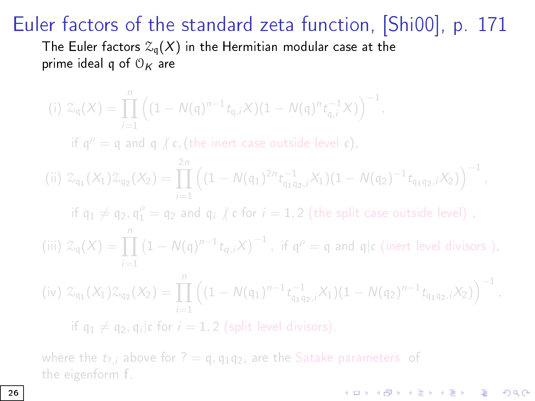The Euler factors  $\mathcal{Z}_q(X)$  in the Hermitian modular case at the prime ideal q of  $\mathcal{O}_K$  are

(i) 
$$
\mathcal{Z}_{q}(X) = \prod_{i=1}^{n} ((1 - N(q)^{n-1} t_{q,i} X)(1 - N(q)^{n} t_{q,i}^{-1} X))^{-1}
$$

if  $\mathfrak{q}^{\rho} = \mathfrak{q}$  and  $\mathfrak{q} \nmid \mathfrak{c}$ , (the inert case outside level  $\mathfrak{c}$ ),

(ii) 
$$
\mathcal{Z}_{q_1}(X_1)\mathcal{Z}_{q_2}(X_2) = \prod_{i=1}^{2n} \left( (1 - N(q_1)^{2n} t_{q_1q_2,i}^{-1} X_1)(1 - N(q_2)^{-1} t_{q_1q_2,i} X_2) \right)^{-1},
$$

if  $\mathfrak{q}_1\neq \mathfrak{q}_2, \mathfrak{q}_1^\rho=\mathfrak{q}_2$  and  $\mathfrak{q}_i\not\mid \mathfrak{c}$  for  $i=1,2$  (the split case outside level) ,

(iii)  $\mathcal{Z}_{\mathfrak{q}}(X) = \prod_{i=1}^{n} (1 - N(\mathfrak{q})^{n-1} t_{q,i} X)^{-1}$ , if  $\mathfrak{q}^{\rho} = \mathfrak{q}$  and  $\mathfrak{q} | \mathfrak{c}$  (inert level divisors ),

$$
(iv) \; \mathcal{Z}_{q_1}(X_1) \mathcal{Z}_{q_2}(X_2) = \prod_{i=1}^n \left( (1 - N(q_1)^{n-1} t_{q_1 q_2, i}^{-1} X_1)(1 - N(q_2)^{n-1} t_{q_1 q_2, i} X_2) \right)^{-1},
$$

 $000$ 

if  $q_1 \neq q_2, q_i|c$  for  $i = 1, 2$  (split level divisors).

where the  $t_{7,i}$  above for ? = q, q<sub>1</sub>q<sub>2</sub>, are the Satake parameters of the eigenform f.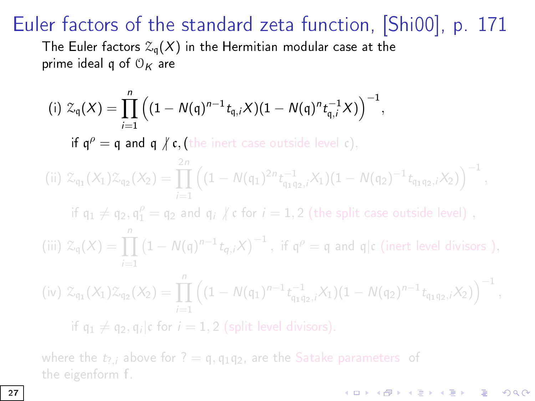The Euler factors  $\mathcal{Z}_q(X)$  in the Hermitian modular case at the prime ideal q of  $\mathcal{O}_K$  are

(i) 
$$
\mathcal{Z}_{q}(X) = \prod_{i=1}^{n} ((1 - N(q)^{n-1} t_{q,i} X)(1 - N(q)^{n} t_{q,i}^{-1} X))^{-1},
$$

if  $q^{\rho} = q$  and  $q \nmid c$ , (the inert case outside level c),

(ii) 
$$
\mathcal{Z}_{q_1}(X_1)\mathcal{Z}_{q_2}(X_2) = \prod_{i=1}^{2n} \left( (1 - N(q_1)^{2n} t_{q_1q_2,i}^{-1} X_1)(1 - N(q_2)^{-1} t_{q_1q_2,i} X_2) \right)^{-1},
$$

if  $\mathfrak{q}_1\neq \mathfrak{q}_2, \mathfrak{q}_1^\rho=\mathfrak{q}_2$  and  $\mathfrak{q}_i\not\mid \mathfrak{c}$  for  $i=1,2$  (the split case outside level) ,

(iii)  $\mathcal{Z}_{\mathfrak{q}}(X) = \prod_{i=1}^{n} (1 - N(\mathfrak{q})^{n-1} t_{q,i} X)^{-1}$ , if  $\mathfrak{q}^{\rho} = \mathfrak{q}$  and  $\mathfrak{q} | \mathfrak{c}$  (inert level divisors ),

$$
(iv) \; \mathcal{Z}_{q_1}(X_1) \mathcal{Z}_{q_2}(X_2) = \prod_{i=1}^n \left( (1 - N(q_1)^{n-1} t_{q_1 q_2, i}^{-1} X_1)(1 - N(q_2)^{n-1} t_{q_1 q_2, i} X_2) \right)^{-1},
$$

**KORKA SERKER STRACK** 

if  $q_1 \neq q_2, q_i|c$  for  $i = 1, 2$  (split level divisors).

where the  $t_{7,i}$  above for ? = q, q<sub>1</sub>q<sub>2</sub>, are the Satake parameters of the eigenform f.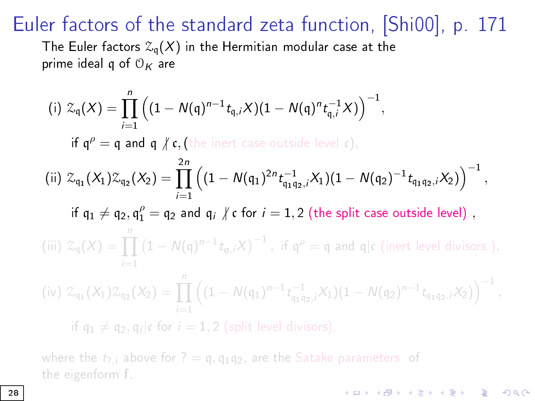The Euler factors  $\mathcal{Z}_{q}(X)$  in the Hermitian modular case at the prime ideal q of  $O_K$  are

(i) 
$$
\mathcal{Z}_{q}(X) = \prod_{i=1}^{n} ((1 - N(q)^{n-1} t_{q,i} X)(1 - N(q)^{n} t_{q,i}^{-1} X))^{-1}
$$
,  
\nif  $q^{\rho} = q$  and  $q \nmid r$ , (the inert case outside level c),  
\n(ii)  $\mathcal{Z}_{q_{1}}(X_{1}) \mathcal{Z}_{q_{2}}(X_{2}) = \prod_{i=1}^{2n} ((1 - N(q_{1})^{2n} t_{q_{1}q_{2,i}}^{-1} X_{1})(1 - N(q_{2})^{-1} t_{q_{1}q_{2,i}} X_{2}))^{-1}$ ,  
\nif  $q_{1} \neq q_{2}, q_{1}^{\rho} = q_{2}$  and  $q_{i} \nmid r$  for  $i = 1, 2$  (the split case outside level),  
\n(iii)  $\mathcal{Z}_{q}(X) = \prod_{i=1}^{n} (1 - N(q)^{n-1} t_{q_{i},i} X)^{-1}$ , if  $q^{\rho} = q$  and  $q|c$  (inert level divisors),  
\n(iv)  $\mathcal{Z}_{q_{1}}(X_{1}) \mathcal{Z}_{q_{2}}(X_{2}) = \prod_{i=1}^{n} ((1 - N(q_{1})^{n-1} t_{q_{1}q_{2,i}}^{-1} X_{1})(1 - N(q_{2})^{n-1} t_{q_{1}q_{2,i}} X_{2}))^{-1}$ ,  
\nif  $q_{1} \neq q_{2}, q_{i}|c$  for  $i = 1, 2$  (split level divisors).

**KORKA BRADE KORA** 

where the  $t_{7,i}$  above for ? = q, q<sub>1</sub>q<sub>2</sub>, are the Satake parameters of the eigenform f.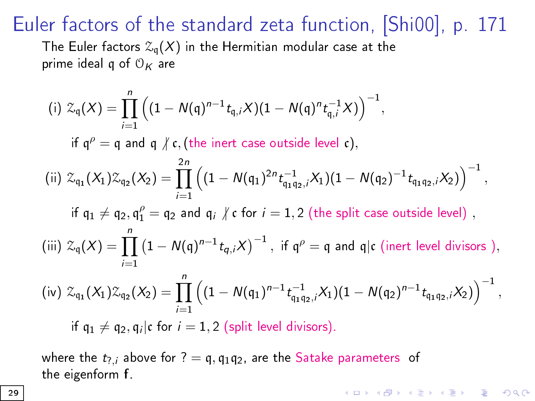The Euler factors  $\mathcal{Z}_q(X)$  in the Hermitian modular case at the prime ideal q of  $O_K$  are

(i) 
$$
\mathcal{Z}_q(X) = \prod_{i=1}^n \left( (1 - N(q)^{n-1} t_{q,i} X)(1 - N(q)^n t_{q,i}^{-1} X) \right)^{-1}
$$
,  
\nif  $q^{\rho} = q$  and  $q \nmid r$ , (the inert case outside level  $\mathfrak{c}$ ),  
\n(ii)  $\mathcal{Z}_{q_1}(X_1) \mathcal{Z}_{q_2}(X_2) = \prod_{i=1}^{2n} \left( (1 - N(q_1)^{2n} t_{q_1 q_2,i}^{-1} X_1)(1 - N(q_2)^{-1} t_{q_1 q_2,i} X_2) \right)^{-1}$ ,  
\nif  $q_1 \neq q_2$ ,  $q_1^{\rho} = q_2$  and  $q_i \nmid r$  for  $i = 1, 2$  (the split case outside level),  
\n(iii)  $\mathcal{Z}_q(X) = \prod_{i=1}^n (1 - N(q)^{n-1} t_{q,i} X)^{-1}$ , if  $q^{\rho} = q$  and  $q|c$  (inert level divisors),  
\n(iv)  $\mathcal{Z}_{q_1}(X_1) \mathcal{Z}_{q_2}(X_2) = \prod_{i=1}^n \left( (1 - N(q_1)^{n-1} t_{q_1 q_2,i}^{-1} X_1)(1 - N(q_2)^{n-1} t_{q_1 q_2,i} X_2) \right)^{-1}$ ,  
\nif  $q_1 \neq q_2$ ,  $q_i|c$  for  $i = 1, 2$  (split level divisors).

where the  $t_{7,i}$  above for ? = q, q<sub>1</sub>q<sub>2</sub>, are the Satake parameters of the eigenform f.

**K ロ X K 레 X K 회 X X 회 X 및 X X X X X 전**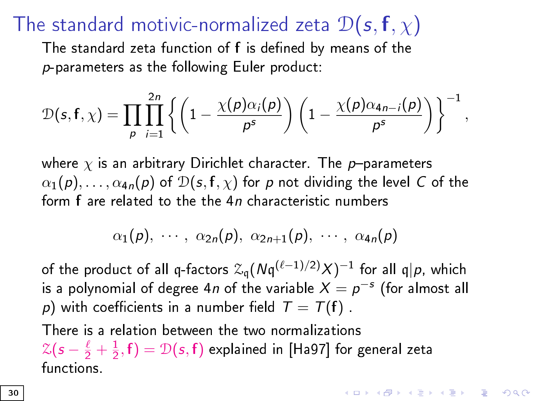## The standard motivic-normalized zeta  $\mathcal{D}(s, f, \chi)$

The standard zeta function of f is defined by means of the p-parameters as the following Euler product:

$$
\mathcal{D}(s, f, \chi) = \prod_{p} \prod_{i=1}^{2n} \left\{ \left( 1 - \frac{\chi(p)\alpha_i(p)}{p^s} \right) \left( 1 - \frac{\chi(p)\alpha_{4n-i}(p)}{p^s} \right) \right\}^{-1},
$$

where  $\chi$  is an arbitrary Dirichlet character. The p-parameters  $\alpha_1(p), \ldots, \alpha_{4n}(p)$  of  $\mathcal{D}(s, f, \chi)$  for p not dividing the level C of the form f are related to the the 4n characteristic numbers

$$
\alpha_1(p),\cdots,\ \alpha_{2n}(p),\ \alpha_{2n+1}(p),\ \cdots,\ \alpha_{4n}(p)
$$

of the product of all q-factors  $\mathcal{Z}_{\mathfrak{q}}(N\mathfrak{q}^{(\ell-1)/2)}X)^{-1}$  for all  $\mathfrak{q}|p$ , which is a polynomial of degree 4n of the variable  $X=p^{-s}$  (for almost all p) with coefficients in a number field  $T = T(f)$ .

**KORKAR KERKER EL VOLO** 

There is a relation between the two normalizations  $\mathcal{Z}(\mathsf{s}-\frac{\ell}{2}+\frac{1}{2},\mathsf{f})=\mathcal{D}(\mathsf{s},\mathsf{f})$  explained in [H[a97\] fo](#page-64-0)r general zeta functions.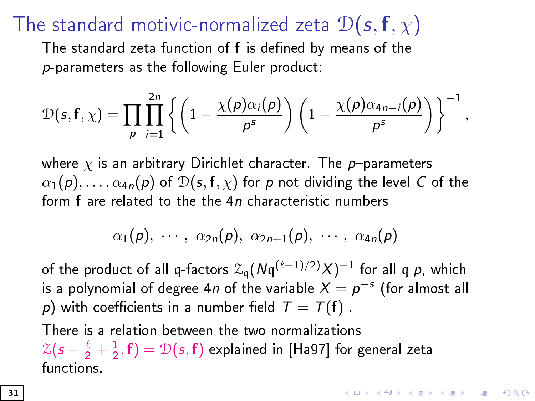## The standard motivic-normalized zeta  $\mathcal{D}(s, f, \chi)$

The standard zeta function of f is defined by means of the p-parameters as the following Euler product:

$$
\mathcal{D}(s, f, \chi) = \prod_{p} \prod_{i=1}^{2n} \left\{ \left( 1 - \frac{\chi(p)\alpha_i(p)}{p^s} \right) \left( 1 - \frac{\chi(p)\alpha_{4n-i}(p)}{p^s} \right) \right\}^{-1},
$$

where  $\chi$  is an arbitrary Dirichlet character. The p-parameters  $\alpha_1(p), \ldots, \alpha_{4n}(p)$  of  $\mathcal{D}(s, f, \chi)$  for p not dividing the level C of the form f are related to the the 4n characteristic numbers

$$
\alpha_1(p),\cdots,\alpha_{2n}(p),\alpha_{2n+1}(p),\cdots,\alpha_{4n}(p)
$$

of the product of all q-factors  $\mathcal{Z}_{\mathfrak{q}}(N\mathfrak{q}^{(\ell-1)/2)}X)^{-1}$  for all  $\mathfrak{q}|p$ , which is a polynomial of degree 4n of the variable  $X=p^{-s}$  (for almost all p) with coefficients in a number field  $T = T(f)$ .

**KORKAR KERKER EL VOLO** 

There is a relation between the two normalizations  $\mathcal{Z}(\mathsf{s}-\frac{\ell}{2}+\frac{1}{2},\mathsf{f})=\mathcal{D}(\mathsf{s},\mathsf{f})$  explained in [H[a97\] fo](#page-64-0)r general zeta functions.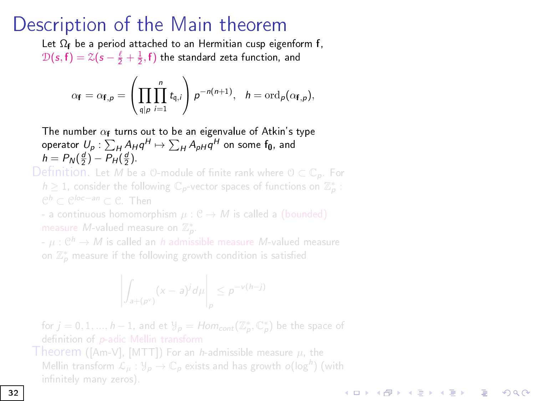#### Description of the Main theorem

Let  $\Omega_f$  be a period attached to an Hermitian cusp eigenform f,  $\mathcal{D}(\mathit{s},\mathsf{f}) = \mathcal{Z}(\mathit{s}-\frac{\ell}{2}+\frac{1}{2},\mathsf{f})$  the standard zeta function, and

$$
\alpha_{\mathbf{f}} = \alpha_{\mathbf{f},p} = \left(\prod_{\mathfrak{q} \mid p} \prod_{i=1}^n t_{\mathfrak{q},i}\right) p^{-n(n+1)}, \quad h = \text{ord}_p(\alpha_{\mathbf{f},p}),
$$

The number  $\alpha_{\mathbf{f}}$  turns out to be an eigenvalue of Atkin's type operator  $\textstyle U_p$  :  $\sum_H A_H q^H \mapsto \sum_H A_{pH} q^H$  on some  $\textsf{f}_0$ , and  $h = P_N(\frac{d}{2}) - P_H(\frac{d}{2})$ 

Definition. Let M be a 0-module of finite rank where  $0 \subset \mathbb{C}_p$ . For  $h\geq 1$ , consider the following  $\mathbb{C}_p$ -vector spaces of functions on  $\mathbb{Z}_p^*$  : C<sup>h</sup> ⊂ C<sup>loc−an</sup> ⊂ C. Then

- a continuous homomorphism  $\mu: \mathcal{C} \rightarrow M$  is called a (bounded) measure *M*-valued measure on  $\mathbb{Z}_p^*$ .

-  $\mu: \mathfrak{C}^h \rightarrow M$  is called an  $h$  admissible measure  $M$ -valued measure on  $\mathbb{Z}_p^*$  measure if the following growth condition is satisfied

$$
\left| \int_{a+(p^{\nu})} (x-a)^j d\mu \right|_p \leq p^{-\nu(h-j)}
$$

for  $j = 0, 1, ..., h - 1$ , and et  $\mathcal{Y}_p = Hom_{cont}(\mathbb{Z}_p^*, \mathbb{C}_p^*)$  be the space of definition of p-adic Mellin tra[nsform](#page-66-2)

Theorem ([Am-V], [MTT]) For an *h*-admissible measure  $\mu$ , the Mellin transform  $\mathcal{L}_{\mu} : \mathcal{Y}_{p} \to \mathbb{C}_{p}$  exists and has growth  $o(\log^{h})$  (with

**KORKA SERKER STRACK**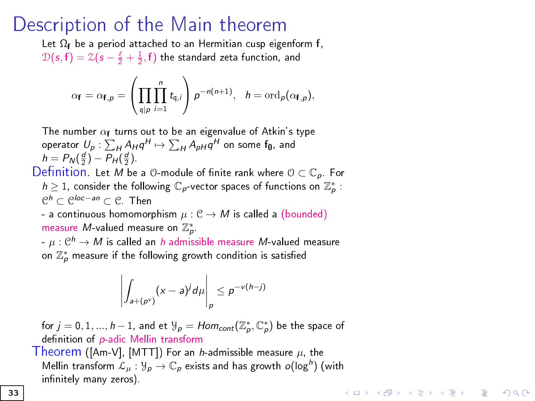#### Description of the Main theorem

Let  $\Omega_f$  be a period attached to an Hermitian cusp eigenform f,  $\mathcal{D}(\mathit{s},\mathsf{f}) = \mathcal{Z}(\mathit{s}-\frac{\ell}{2}+\frac{1}{2},\mathsf{f})$  the standard zeta function, and

$$
\alpha_{\mathbf{f}} = \alpha_{\mathbf{f},p} = \left(\prod_{\mathfrak{q} \mid p} \prod_{i=1}^n t_{\mathfrak{q},i}\right) p^{-n(n+1)}, \quad h = \text{ord}_p(\alpha_{\mathbf{f},p}),
$$

The number  $\alpha_{\mathbf{f}}$  turns out to be an eigenvalue of Atkin's type operator  $\textstyle U_p$  :  $\sum_H A_H q^H \mapsto \sum_H A_{pH} q^H$  on some  $\textsf{f}_0$ , and  $h = P_N(\frac{d}{2}) - P_H(\frac{d}{2})$ 

Definition. Let M be a  $\odot$ -module of finite rank where  $\odot \subset \mathbb{C}_p$ . For  $h\geq 1$ , consider the following  $\mathbb{C}_p$ -vector spaces of functions on  $\mathbb{Z}_p^*$  : C <sup>h</sup> ⊂ C loc−an <sup>⊂</sup> <sup>C</sup>. Then

- a continuous homomorphism  $\mu : \mathcal{C} \to M$  is called a (bounded) measure  $M$ -valued measure on  $\mathbb{Z}_p^*$ 

 $-\mu:\mathcal{C}^h\rightarrow M$  is called an  $h$  admissible measure  $M$ -valued measure on  $\mathbb{Z}_p^*$  measure if the following growth condition is satisfied

$$
\left|\int_{a+(p^{\nu})}(x-a)^{j}d\mu\right|_{p}\leq p^{-\nu(h-j)}
$$

for  $j = 0, 1, ..., h - 1$ , and et  $\mathcal{Y}_p = Hom_{cont}(\mathbb{Z}_p^*, \mathbb{C}_p^*)$  be the space of definition of p-adic Mellin tra[nsform](#page-66-2) Theorem ([Am-V], [MTT]) For an h-admissible measure  $\mu$ , the Mellin transform  $\mathcal{L}_{\mu} : \mathcal{Y}_{p} \to \mathbb{C}_{p}$  exists and has growth  $o(\log^{h})$  (with

**KORKA SERKER STRACK** 

infinitely many zeros).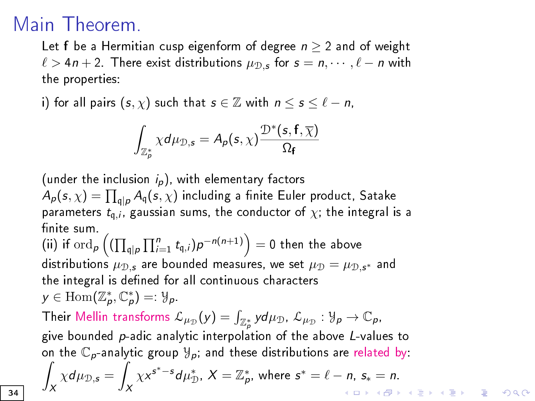## <span id="page-33-0"></span>Main Theorem.

Let f be a Hermitian cusp eigenform of degree  $n \geq 2$  and of weight  $\ell > 4n + 2$ . There exist distributions  $\mu_{\mathcal{D},s}$  for  $s = n, \cdots, \ell - n$  with the properties:

i) for all pairs  $(s, \chi)$  such that  $s \in \mathbb{Z}$  with  $n \leq s \leq \ell - n$ ,

$$
\int_{\mathbb{Z}_p^*} \chi d\mu_{\mathbb{D},s} = A_p(s,\chi) \frac{\mathbb{D}^*(s,\mathsf{f},\overline{\chi})}{\Omega_{\mathsf{f}}}
$$

(under the inclusion  $i_p$ ), with elementary factors  $A_{\rho}(s,\chi)=\prod_{\mathfrak{q}\mid\rho}A_{\mathfrak{q}}(s,\chi)$  including a finite Euler product, Satake parameters  $t_{q,i}$ , gaussian sums, the conductor of  $\chi$ , the integral is a finite sum.

(ii) if  $\operatorname{ord}_p\left((\prod_{\mathfrak{q}\mid p}\prod_{i=1}^nt_{\mathfrak{q},i})p^{-n(n+1)}\right)=0$  then the above distributions  $\mu_{\mathcal{D},s}$  are bounded measures, we set  $\mu_{\mathcal{D}} = \mu_{\mathcal{D},s^*}$  and the integral is defined for all continuous characters  $y \in \text{Hom}(\mathbb{Z}_p^*, \mathbb{C}_p^*) = \mathcal{Y}_p.$ 

Their Mellin transforms  $\mathcal{L}_{\mu_{\mathcal{D}}}(y) = \int_{\mathbb{Z}_p^*} y d\mu_{\mathcal{D}}$ ,  $\mathcal{L}_{\mu_{\mathcal{D}}} : \mathcal{Y}_p \to \mathbb{C}_p$ , give bounded p-adic analytic interpolation of the above L-values to on the  $\mathbb{C}_p$ -analytic group  $\mathcal{Y}_p$ , and these distributions are related by: Z Z

$$
\int_X \chi d\mu_{\mathcal{D},\mathbf{s}} = \int_X \chi^{\mathbf{s}^*-\mathbf{s}} d\mu_{\mathcal{D}}^*, \ X = \mathbb{Z}_p^*, \ \text{where} \ \mathbf{s}^* = \ell - n, \ \mathbf{s}_* = n.
$$

34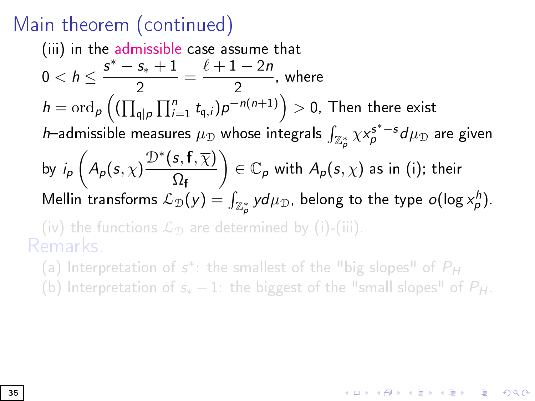#### Main theorem (continued)

(iii) in the admissible case assume that  $0 < h \leq \frac{s^* - s_* + 1}{2}$  $\frac{s_*+1}{2} = \frac{\ell+1-2n}{2}$  $\frac{1}{2}$ , where  $h=\text{ord}_\rho\left((\prod_{\mathfrak{q}\mid\rho}\prod_{i=1}^nt_{\mathfrak{q},i})\rho^{-n(n+1)}\right)>0,$  Then there exist h—admissible measures  $\mu_{\mathcal{D}}$  whose integrals  $\int_{\mathbb{Z}_p^*} \chi {\mathsf x}_p^{\mathsf{s}^*-\mathsf{s}} d\mu_{\mathcal{D}}$  are given by  $i_p\left(A_p(s,\chi)\right)$  $\mathcal{D}^{*}(\mathsf{s},\mathsf{f},\overline{\chi})$  $\Omega_{\textbf{f}}$  $\Big) \in \mathbb{C}_{\rho}$  with  $A_{\rho}(s,\chi)$  as in (i); their Mellin transforms  $\mathcal{L}_\mathcal{D}(y) = \int_{\mathbb{Z}_p^*} y d\mu_\mathcal{D}$ , belong to the type  $o(\log x^h_\rho)$ . (iv) the functions  $\mathcal{L}_{\mathcal{D}}$  are determined by (i)-(iii). Remarks.

(a) Interpretation of  $s^*$ : the smallest of the "big slopes" of  $P_H$ 

(b) Interpretation of  $s_* - 1$ : the biggest of the "small slopes" of  $P_H$ .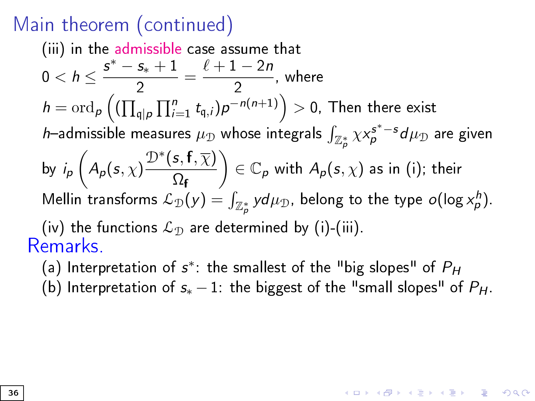#### <span id="page-35-0"></span>Main theorem (continued)

(iii) in the admissible case assume that  $0 < h \leq \frac{s^* - s_* + 1}{2}$  $\frac{s_*+1}{2} = \frac{\ell+1-2n}{2}$  $\frac{1}{2}$ , where  $h=\text{ord}_\rho\left((\prod_{\mathfrak{q}\mid\rho}\prod_{i=1}^nt_{\mathfrak{q},i})\rho^{-n(n+1)}\right)>0,$  Then there exist h—admissible measures  $\mu_{\mathcal{D}}$  whose integrals  $\int_{\mathbb{Z}_p^*} \chi {\mathsf x}_p^{\mathsf{s}^*-\mathsf{s}} d\mu_{\mathcal{D}}$  are given by  $i_p\left(A_p(s,\chi)\right)$  $\mathcal{D}^{*}(\mathsf{s},\mathsf{f},\overline{\chi})$  $\Omega_{\textbf{f}}$  $\Big) \in \mathbb{C}_{\rho}$  with  $A_{\rho}(s,\chi)$  as in (i); their Mellin transforms  $\mathcal{L}_\mathcal{D}(y) = \int_{\mathbb{Z}_p^*} y d\mu_\mathcal{D}$ , belong to the type  $o(\log x^h_\rho)$ . (iv) the functions  $\mathcal{L}_{\mathcal{D}}$  are determined by (i)-(iii). Remarks.

(a) Interpretation of  $s^*$ : the smallest of the "big slopes" of  $P_H$ (b) Interpretation of  $s_* - 1$ : the biggest of the "small slopes" of  $P_H$ .

**KORKAR KERKER EL VOLO**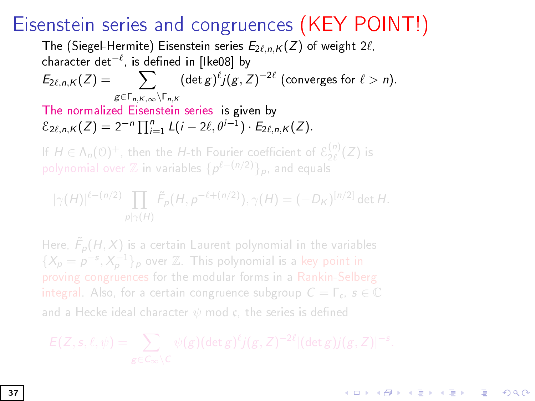## Eisenstein series and congruences (KEY POINT!)

The (Siegel-Hermite) Eisenstein series  $E_{2\ell,n,K}(Z)$  of weight  $2\ell$ , character det $^{-\ell}$ , is defined in [Ike08] by  $E_{2\ell,n,K}(Z) = \qquad \sum \qquad (\det g)^{\ell} j(g, Z)^{-2\ell}$  (converges for  $\ell > n$ ).  $g\in\Gamma$ <sub>n</sub> $K_{\infty}\setminus\Gamma$ <sub>n</sub> $K$ The normalized Eisenstein series is given by  $\mathcal{E}_{2\ell,n,K}(Z) = 2^{-n} \prod_{i=1}^{n} L(i - 2\ell, \theta^{i-1}) \cdot E_{2\ell,n,K}(Z).$ If  $H \in \Lambda_n(\mathbb{O})^+$ , then the H-th Fourier coefficient of  $\mathcal{E}_{2\ell}^{(n)}(Z)$  is

polynomial over  $\mathbb Z$  in variables  $\{\rho^{\ell-(n/2)}\}_\rho$ , and equals

$$
|\gamma(H)|^{\ell-(n/2)}\prod_{p|\gamma(H)}\tilde{F}_p(H,p^{-\ell+(n/2)}),\gamma(H)=(-D_K)^{[n/2]}\det H.
$$

Here,  $\tilde{F}_p(H,X)$  is a certain Laurent polynomial in the variables  $\{X_p = p^{-s}, X_p^{-1}\}_p$  over  $\mathbb Z$ . This polynomial is a key point in proving congruences for the modular forms in a Rankin-Selberg integral. Also, for a certain congruence subgroup  $C = \Gamma_c$ ,  $s \in \mathbb{C}$ and a Hecke ideal character  $\psi$  mod c, the series is defined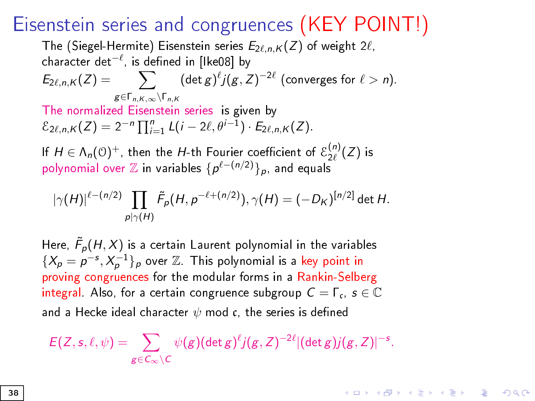#### Eisenstein series and congruences (KEY POINT!)

The (Siegel-Hermite) Eisenstein series  $E_{2\ell,n,K}(Z)$  of weight  $2\ell$ , character det $^{-\ell}$ , is defined in [Ike08] by  $E_{2\ell,n,K}(Z) = \qquad \sum \qquad (\det g)^{\ell} j(g, Z)^{-2\ell}$  (converges for  $\ell > n$ ).  $g\in\Gamma$ <sub>n</sub> $K_{\infty}\setminus\Gamma$ <sub>n</sub> $K$ The normalized Eisenstein series is given by  $\mathcal{E}_{2\ell,n,K}(Z) = 2^{-n} \prod_{i=1}^{n} L(i - 2\ell, \theta^{i-1}) \cdot E_{2\ell,n,K}(Z).$ If  $H \in \Lambda_n(\mathbb{O})^+$ , then the H-th Fourier coefficient of  $\mathcal{E}_{2\ell}^{(n)}(Z)$  is polynomial over  $\mathbb Z$  in variables  $\{p^{\ell-(n/2)}\}_p$ , and equals

$$
|\gamma(H)|^{\ell-(n/2)}\prod_{p|\gamma(H)}\tilde{F}_p(H,p^{-\ell+(n/2)}),\gamma(H)=(-D_K)^{[n/2]}\det H.
$$

Here,  $\tilde{F}_\rho(H,X)$  is a certain Laurent polynomial in the variables  $\{X_p = p^{-s}, X_p^{-1}\}_p$  over  $\mathbb Z$ . This polynomial is a key point in proving congruences for the modular forms in a Rankin-Selberg integral. Also, for a certain congruence subgroup  $C = \Gamma_c$ ,  $s \in \mathbb{C}$ and a Hecke ideal character  $\psi$  mod c, the series is defined

$$
E(Z,s,\ell,\psi)=\sum_{g\in C_{\infty}\setminus C}\psi(g)(\det g)^{\ell}j(g,Z)^{-2\ell}|(\det g)j(g,Z)|^{-s}.
$$

**KORKA SERKER STRACK**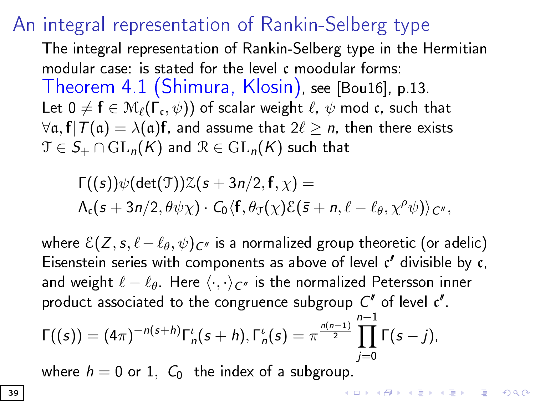#### An integral representation of Rankin-Selberg type

The integral representation of Rankin-Selberg type in the Hermitian modular case: is stated for the level c moodular forms: Theorem 4.1 (Shimura, Klosin), see [[Bou16\],](#page-61-0) p.13. Let  $0\neq \mathbf{f}\in\mathcal{M}_{\ell}(\Gamma_\mathfrak{c},\psi))$  of scalar weight  $\ell,\ \psi$  mod  $\mathfrak{c}$ , such that  $\forall \alpha$ ,  $f|T(\alpha) = \lambda(\alpha) f$ , and assume that  $2\ell \ge n$ , then there exists  $\mathfrak{T} \in \mathcal{S}_+ \cap \mathrm{GL}_n(K)$  and  $\mathcal{R} \in \mathrm{GL}_n(K)$  such that

$$
\Gamma((s))\psi(\det(\mathcal{T}))\mathcal{Z}(s+3n/2,\mathbf{f},\chi)=\\ \Lambda_c(s+3n/2,\theta\psi\chi)\cdot C_0\langle \mathbf{f},\theta_{\mathcal{T}}(\chi)\mathcal{E}(\bar{s}+n,\ell-\ell_\theta,\chi^\rho\psi)\rangle_{\mathbf{C}''},
$$

where  $\mathcal{E}(Z, s, \ell-\ell_{\theta}, \psi)_{C''}$  is a normalized group theoretic (or adelic) Eisenstein series with components as above of level  $c'$  divisible by  $c$ , and weight  $\ell - \ell_{\theta}$ . Here  $\langle \cdot, \cdot \rangle_{C^{\prime\prime}}$  is the normalized Petersson inner product associated to the congruence subgroup  $C''$  of level  $c''$ .

$$
\Gamma((s)) = (4\pi)^{-n(s+h)}\Gamma_n^{\iota}(s+h), \Gamma_n^{\iota}(s) = \pi^{\frac{n(n-1)}{2}}\prod_{j=0}^{n-1}\Gamma(s-j).
$$

where  $h = 0$  or 1,  $C_0$  the index of a subgroup.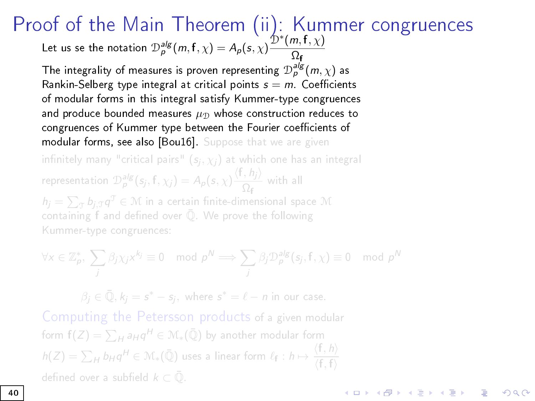Proof of the Main Theorem (ii): Kummer congruences Let us se the notation  $\mathcal{D}_p^{alg}(m,\mathbf{f},\chi) = A_p(\mathbf{s},\chi) \frac{\mathcal{D}^*(m,\mathbf{f},\chi)}{\Omega_n}$  $\mathcal{D}_p^{alg}(m,\mathbf{f},\chi) = A_p(\mathbf{s},\chi) \frac{\mathcal{D}^*(m,\mathbf{f},\chi)}{\Omega_n}$  $\mathcal{D}_p^{alg}(m,\mathbf{f},\chi) = A_p(\mathbf{s},\chi) \frac{\mathcal{D}^*(m,\mathbf{f},\chi)}{\Omega_n}$ Ωf

The integrality of measures is proven representing  $\mathcal{D}_p^{alg}(m,\chi)$  as Rankin-Selberg type integral at critical points  $s = m$ . Coefficients of modular forms in this integral satisfy Kummer-type congruences and produce bounded measures  $\mu_{\mathcal{D}}$  whose construction reduces to congruences of Kummer type between the Fourier coefficients of modular forms, see also [Bou16]. Suppose that we are given infinitely many "critical pairs"  $(s_j, \chi_j)$  at which one has an integral representation  $\mathcal{D}^{alg}_\rho (s_j, f, \chi_j) = A_\rho (s, \chi) \frac{\langle f, h_j \rangle}{\Omega_s}$  $\frac{1}{\Omega_f}$  with all  $h_j = \sum_{\mathcal{T}} b_{j,\mathcal{T}} q^{\mathcal{T}} \in \mathcal{M}$  in a certain finite-dimensional space  $\mathcal{M}$ containing f and defined over  $\overline{Q}$ . We prove the following Kummer-type congruences:

$$
\forall x \in \mathbb{Z}_p^*, \ \sum_j \beta_j \chi_j x^{k_j} \equiv 0 \mod p^N \Longrightarrow \sum_j \beta_j \mathcal{D}_p^{\text{alg}}(s_j, f, \chi) \equiv 0 \mod p^N
$$

 $\beta_j \in \bar{\mathbb{Q}}, k_j = s^* - s_j$ , where  $s^* = \ell - n$  in our case.

Computing the Petersson products of a given modular form  $\mathsf{f}(Z)=\sum_Ha_Hq^H\in\mathcal{M}_{*}(\bar{\mathbb{Q}})$  by another modular form  $h(Z)=\sum_H b_H q^H \in \mathcal{M}_*(\bar{\mathbb{Q}})$  uses a linear form  $\ell_{\mathsf{f}}: h \mapsto \frac{\langle {\mathsf{f}}, h \rangle}{\langle {\mathsf{f}}, {\mathsf{f}} \rangle}$  $\langle \mathsf{f},\mathsf{f} \rangle$ defined over a subfield  $k \subset \overline{Q}$ . **K ロ ▶ K 御 ▶ K 唐 ▶ K 唐 ▶ 『唐 』**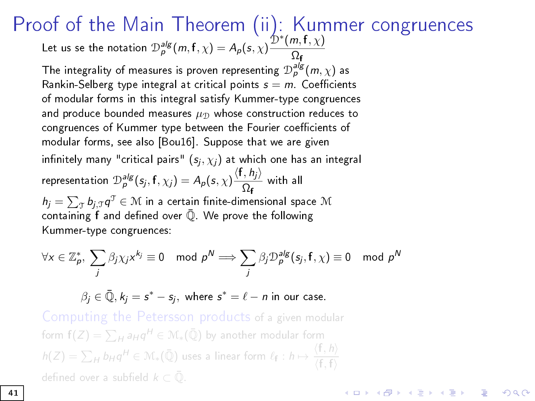Proof of the Main Theorem (ii): Kummer congruences Let us se the notation  $\mathcal{D}_p^{alg}(m,\mathbf{f},\chi) = A_p(\mathbf{s},\chi) \frac{\mathcal{D}^*(m,\mathbf{f},\chi)}{\Omega_n}$  $\mathcal{D}_p^{alg}(m,\mathbf{f},\chi) = A_p(\mathbf{s},\chi) \frac{\mathcal{D}^*(m,\mathbf{f},\chi)}{\Omega_n}$  $\mathcal{D}_p^{alg}(m,\mathbf{f},\chi) = A_p(\mathbf{s},\chi) \frac{\mathcal{D}^*(m,\mathbf{f},\chi)}{\Omega_n}$ Ωf

The integrality of measures is proven representing  $\mathcal{D}_p^{alg}(m,\chi)$  as Rankin-Selberg type integral at critical points  $s = m$ . Coefficients of modular forms in this integral satisfy Kummer-type congruences and produce bounded measures  $\mu_{\mathcal{D}}$  whose construction reduces to congruences of Kummer type between the Fourier coefficients of modular forms, see also [Bou16]. Suppose that we are given infinitely many "critical pairs"  $(\mathsf{s}_j, \chi_j)$  at which one has an integral representation  $\mathcal{D}_{\rho}^{alg}(\mathsf{s}_j, \mathsf{f}, \chi_j) = A_{\rho}(\mathsf{s}, \chi) \frac{\langle \mathsf{f}, \mathsf{h}_j \rangle}{\Omega_{\rho}}$  $\frac{1}{\Omega_f}$  with all  $\mathcal{h}_j = \sum_{\mathcal{T}} \mathcal{b}_{j,\mathcal{T}} \mathcal{q}^{\mathcal{T}} \in \mathcal{M}$  in a certain finite-dimensional space  $\mathcal{M}$ containing  $f$  and defined over  $Q$ . We prove the following Kummer-type congruences:

$$
\forall x \in \mathbb{Z}_p^*, \ \sum_j \beta_j \chi_j x^{k_j} \equiv 0 \mod p^N \Longrightarrow \sum_j \beta_j \mathcal{D}_p^{alg}(s_j, f, \chi) \equiv 0 \mod p^N
$$

 $\beta_j \in \bar{\mathbb{Q}}, k_j = s^* - s_j$ , where  $s^* = \ell - n$  in our case.

Computing the Petersson products of a given modular form  $\mathsf{f}(Z)=\sum_Ha_Hq^H\in\mathcal{M}_{*}(\bar{\mathbb{Q}})$  by another modular form  $h(Z)=\sum_H b_H q^H \in \mathcal{M}_*(\bar{\mathbb{Q}})$  uses a linear form  $\ell_{\mathsf{f}}: h \mapsto \frac{\langle {\mathsf{f}}, h \rangle}{\langle {\mathsf{f}}, {\mathsf{f}} \rangle}$  $\langle \mathsf{f},\mathsf{f} \rangle$ defined over a subfield  $k \subset \overline{Q}$ .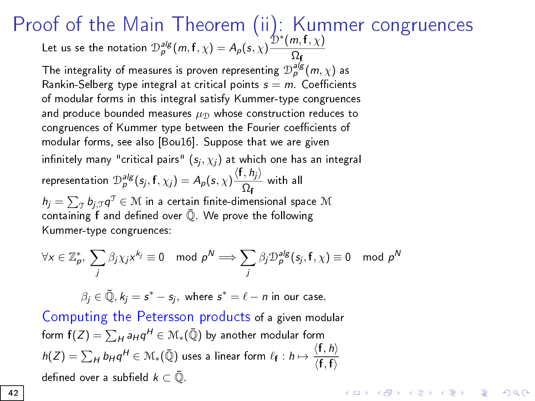Proof of the Main Theorem (ii): Kummer congruences Let us se the notation  $\mathcal{D}_p^{alg}(m,\mathbf{f},\chi) = A_p(\mathbf{s},\chi) \frac{\mathcal{D}^*(m,\mathbf{f},\chi)}{\Omega_n}$  $\mathcal{D}_p^{alg}(m,\mathbf{f},\chi) = A_p(\mathbf{s},\chi) \frac{\mathcal{D}^*(m,\mathbf{f},\chi)}{\Omega_n}$  $\mathcal{D}_p^{alg}(m,\mathbf{f},\chi) = A_p(\mathbf{s},\chi) \frac{\mathcal{D}^*(m,\mathbf{f},\chi)}{\Omega_n}$ Ωf

The integrality of measures is proven representing  $\mathcal{D}_p^{alg}(m,\chi)$  as Rankin-Selberg type integral at critical points  $s = m$ . Coefficients of modular forms in this integral satisfy Kummer-type congruences and produce bounded measures  $\mu_{\mathcal{D}}$  whose construction reduces to congruences of Kummer type between the Fourier coefficients of modular forms, see also [Bou16]. Suppose that we are given infinitely many "critical pairs"  $(s_j, \chi_j)$  at which one has an integral representation  $\mathcal{D}_{\rho}^{alg}(\mathsf{s}_j, \mathsf{f}, \chi_j) = A_{\rho}(\mathsf{s}, \chi) \frac{\langle \mathsf{f}, \mathsf{h}_j \rangle}{\Omega_{\rho}}$  $\frac{1}{\Omega_f}$  with all  $\mathcal{h}_j = \sum_{\mathcal{T}} \mathcal{b}_{j,\mathcal{T}} \mathcal{q}^{\mathcal{T}} \in \mathcal{M}$  in a certain finite-dimensional space  $\mathcal{M}$ containing  $f$  and defined over  $\overline{Q}$ . We prove the following Kummer-type congruences:

$$
\forall x \in \mathbb{Z}_p^*, \ \sum_j \beta_j \chi_j x^{k_j} \equiv 0 \mod p^N \Longrightarrow \sum_j \beta_j \mathcal{D}_p^{alg}(s_j, f, \chi) \equiv 0 \mod p^N
$$

**KORKAR KERKER DRA** 

 $\beta_j \in \bar{\mathbb{Q}}, k_j = s^* - s_j$ , where  $s^* = \ell - n$  in our case.

Computing the Petersson products of a given modular form  $\mathsf{f}(Z)=\sum_Ha_Hq^H\in\mathcal{M}_{*}(\bar{\mathbb{Q}})$  by another modular form  $h(Z)=\sum_H b_H q^H \in \mathcal{M}_*(\bar{\mathbb{Q}})$  uses a linear form  $\ell_{\mathbf{f}}: h \mapsto \frac{\langle \mathbf{f}, h \rangle}{\langle \mathbf{f}, \mathbf{f} \rangle}$  $\langle \mathsf{f},\mathsf{f}\rangle$ defined over a subfield  $k \subset \overline{Q}$ .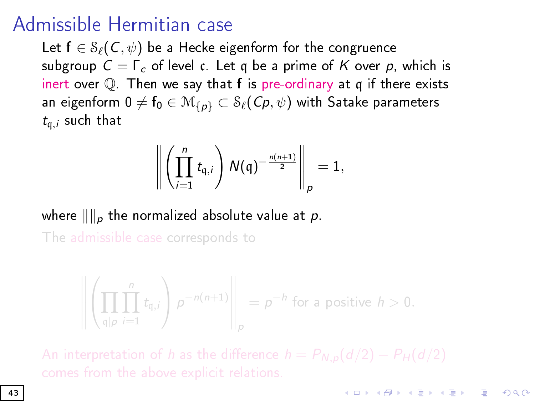## Admissible Hermitian case

Let  $f \in \mathcal{S}_{\ell}(\mathcal{C}, \psi)$  be a Hecke eigenform for the congruence subgroup  $C = \Gamma_c$  of level c. Let q be a prime of K over p, which is inert over  $\mathbb Q$ . Then we say that f is pre-ordinary at q if there exists an eigenform 0  $\neq$   $f_0 \in M_{\{p\}} \subset \mathcal{S}_{\ell}(\mathcal{C}_p, \psi)$  with Satake parameters  $t_{\mathfrak{a},j}$  such that

$$
\left\| \left( \prod_{i=1}^n t_{\mathfrak{q},i} \right) N(\mathfrak{q})^{-\frac{n(n+1)}{2}} \right\|_p = 1,
$$

where  $\|\|_p$  the normalized absolute value at p. The admissible case corresponds to

$$
\left\| \left( \prod_{\mathfrak{q} | p} \prod_{i=1}^n t_{\mathfrak{q},i} \right) p^{-n(n+1)} \right\|_p = p^{-h} \text{ for a positive } h > 0.
$$

**KORKAR KERKER EL VOLO**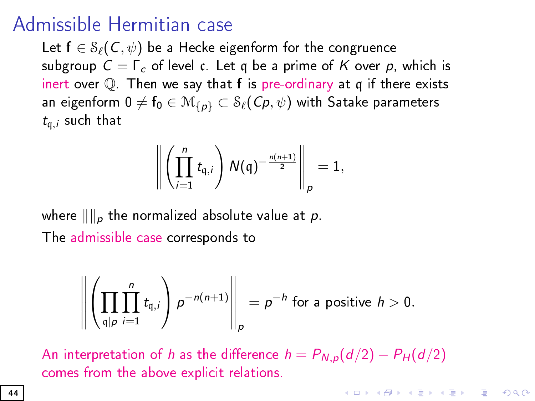## <span id="page-43-0"></span>Admissible Hermitian case

Let  $f \in \mathcal{S}_{\ell}(\mathcal{C}, \psi)$  be a Hecke eigenform for the congruence subgroup  $C = \Gamma_c$  of level c. Let q be a prime of K over p, which is inert over  $\mathbb Q$ . Then we say that f is pre-ordinary at q if there exists an eigenform 0  $\neq$   $f_0 \in M_{\{p\}} \subset \mathcal{S}_{\ell}(\mathcal{C}_p, \psi)$  with Satake parameters  $t_{\mathfrak{a},j}$  such that

$$
\left\| \left( \prod_{i=1}^n t_{\mathfrak{q},i} \right) N(\mathfrak{q})^{-\frac{n(n+1)}{2}} \right\|_p = 1,
$$

where  $\|\|_p$  the normalized absolute value at p. The admissible case corresponds to

$$
\left\| \left( \prod_{\substack{q \mid p \\ q \mid p}} \prod_{i=1}^n t_{q,i} \right) p^{-n(n+1)} \right\|_p = p^{-h} \text{ for a positive } h > 0.
$$

An interpretation of h as the difference  $h = P_{N,p}(d/2) - P_H(d/2)$ comes from the above explicit relations.

**KORKAR KERKER EL VOLO**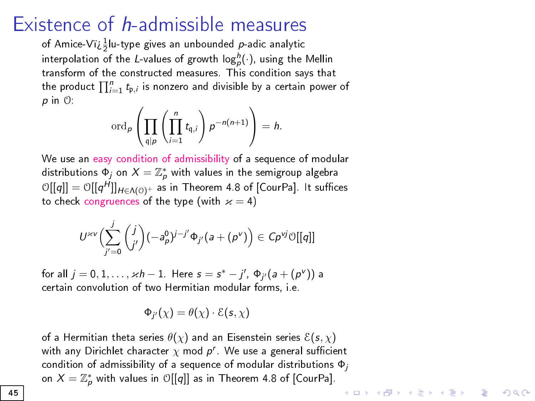## Existence of h-admissible measures

of Amice-Vï $\frac{1}{2}$ lu-type gives an unbounded  $p$ -adic analytic interpolation of the L-values of growth  $\mathsf{log}^h_p(\cdot)$ , using the Mellin transform of the constructed measures. This condition says that the product  $\prod_{i=1}^n t_{\mathfrak{p},i}$  is nonzero and divisible by a certain power of p in O:

$$
\operatorname{ord}_p\left(\prod_{\mathfrak{q}\mid p}\left(\prod_{i=1}^n t_{\mathfrak{q},i}\right)p^{-n(n+1)}\right)=h.
$$

We use an easy condition of admissibility of a sequence of modular distributions  $\Phi_j$  on  $X=\mathbb{Z}_p^*$  with values in the semigroup algebra  $\mathcal{O}[[q]] = \mathcal{O}[[q^H]]_{H \in \Lambda(\mathcal{O})^+}$  as in Theorem 4.8 of [CourPa]. It suffices to check congruences of the type (with  $x = 4$ )

$$
U^{\varkappa\nu}\Bigl(\sum_{j'=0}^j\binom{j}{j'}(-a_\rho^0)^{j-j'}\Phi_{j'}(a+(\rho^\nu)\Bigr)\in C\rho^{\vee j}\mathbb O[[q]]
$$

for all  $j = 0, 1, ..., \varkappa h - 1$ . Here  $s = s^* - j'$ ,  $\Phi_{j'}(a + (p^{\vee}))$  a certain convolution of two Hermitian modular forms, i.e.

$$
\Phi_{j'}(\chi) = \theta(\chi) \cdot \mathcal{E}(s, \chi)
$$

of a Hermitian theta series  $\theta(\chi)$  and an Eisenstein series  $\mathcal{E}(s, \chi)$ with any Dirichlet character  $\chi$  mod  $p^r$ . We use a general sufficient condition of admissibility of a sequence of modular distributions  $\Phi_j$ on  $X=\mathbb{Z}_p^*$  with values in  $\mathbb{O}[[q]]$  as in Theorem 4.8 of [CourPa]. **KORKA SERKER STRACK**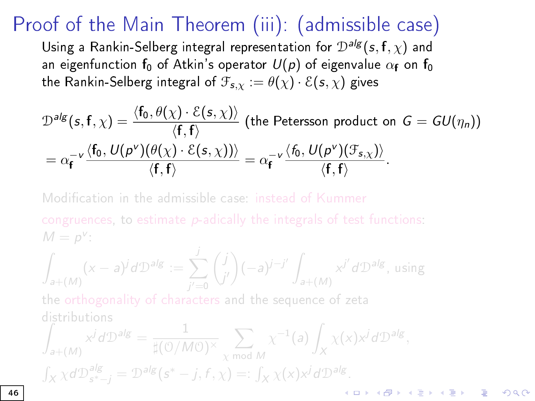## Proof of the Main Theorem (iii): (admissible case)

Using a Rankin-Selberg integral representation for  $\mathcal{D}^{alg}(s, f, \chi)$  and an eigenfunction  $f_0$  of Atkin's operator  $U(p)$  of eigenvalue  $\alpha_f$  on  $f_0$ the Rankin-Selberg integral of  $\mathcal{F}_{s,x} := \theta(\chi) \cdot \mathcal{E}(s,\chi)$  gives

$$
\mathcal{D}^{alg}(s, f, \chi) = \frac{\langle f_0, \theta(\chi) \cdot \mathcal{E}(s, \chi) \rangle}{\langle f, f \rangle} \text{ (the Peterson product on } G = GU(\eta_n))
$$
\n
$$
= \alpha_f^{-\nu} \frac{\langle f_0, U(\rho^{\nu})(\theta(\chi) \cdot \mathcal{E}(s, \chi)) \rangle}{\langle f, f \rangle} = \alpha_f^{-\nu} \frac{\langle f_0, U(\rho^{\nu})(\mathcal{F}_{s, \chi}) \rangle}{\langle f, f \rangle}.
$$

Modification in the admissible case: instead of Kummer congruences, to estimate p-adically the integrals of test functions:  $M = p^{\vee}$ :

$$
\int_{a+(M)} (x-a)^j d\mathcal{D}^{alg} := \sum_{j'=0}^j \binom{j}{j'} (-a)^{j-j'} \int_{a+(M)} x^{j'} d\mathcal{D}^{alg}, \text{ using}
$$

the orthogonality of characters and the sequence of zeta distributions

$$
\int_{a+(M)} x^j d\mathcal{D}^{alg} = \frac{1}{\sharp(\mathcal{O}/M\mathcal{O})^{\times}} \sum_{\chi \bmod M} \chi^{-1}(a) \int_X \chi(x) x^j d\mathcal{D}^{alg},
$$
\n
$$
\int_X \chi d\mathcal{D}_{s^*-j}^{alg} = \mathcal{D}^{alg}(s^* - j, f, \chi) =: \int_X \chi(x) x^j d\mathcal{D}^{alg}.
$$

G.

 $2990$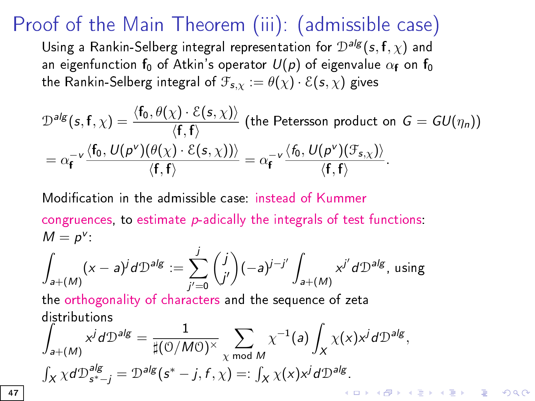## Proof of the Main Theorem (iii): (admissible case)

Using a Rankin-Selberg integral representation for  $\mathcal{D}^{alg}(s,f,\chi)$  and an eigenfunction  $f_0$  of Atkin's operator  $U(p)$  of eigenvalue  $\alpha_f$  on  $f_0$ the Rankin-Selberg integral of  $\mathcal{F}_{s,x} := \theta(\chi) \cdot \mathcal{E}(s,\chi)$  gives

$$
\mathcal{D}^{alg}(s, f, \chi) = \frac{\langle f_0, \theta(\chi) \cdot \mathcal{E}(s, \chi) \rangle}{\langle f, f \rangle} \text{ (the Peterson product on } G = GU(\eta_n))
$$
\n
$$
= \alpha_f^{-\nu} \frac{\langle f_0, U(\rho^{\nu})(\theta(\chi) \cdot \mathcal{E}(s, \chi)) \rangle}{\langle f, f \rangle} = \alpha_f^{-\nu} \frac{\langle f_0, U(\rho^{\nu})(\mathcal{F}_{s, \chi}) \rangle}{\langle f, f \rangle}.
$$

Modification in the admissible case instead of Kummer congruences, to estimate  $p$ -adically the integrals of test functions:  $M = p^V$ 

$$
\int_{a+(M)} (x-a)^j d\mathcal{D}^{alg} := \sum_{j'=0}^j \binom{j}{j'} (-a)^{j-j'} \int_{a+(M)} x^{j'} d\mathcal{D}^{alg}, \text{ using}
$$

the orthogonality of characters and the sequence of zeta distributions

$$
\int_{a+(M)} x^j d\mathcal{D}^{alg} = \frac{1}{\sharp (0/M0)^{\times}} \sum_{\chi \bmod M} \chi^{-1}(a) \int_X \chi(x) x^j d\mathcal{D}^{alg},
$$
\n
$$
\int_X \chi d\mathcal{D}_{s^*-j}^{alg} = \mathcal{D}^{alg}(s^* - j, f, \chi) =: \int_X \chi(x) x^j d\mathcal{D}^{alg}.
$$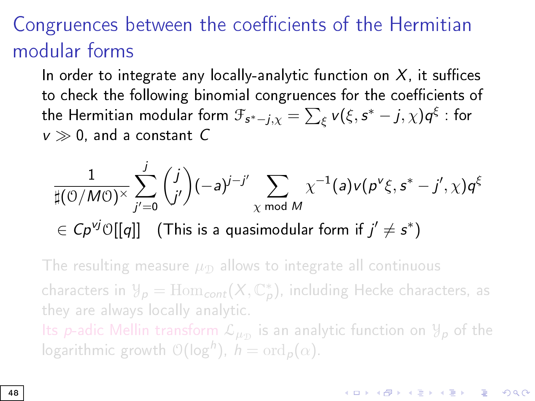## Congruences between the coefficients of the Hermitian modular forms

In order to integrate any locally-analytic function on  $X$ , it suffices to check the following binomial congruences for the coefficients of the Hermitian modular form  $\mathfrak{F}_{\mathsf{s}^* - j, \chi} = \sum_\xi \mathsf{v}(\xi, \mathsf{s}^* - j, \chi) \mathsf{q}^\xi$  : for  $v \gg 0$ , and a constant C

$$
\frac{1}{\sharp(\mathcal{O}/M\mathcal{O})^{\times}}\sum_{j'=0}^{j}\binom{j}{j'}(-a)^{j-j'}\sum_{\chi \bmod M}\chi^{-1}(a)v(p^{\nu}\xi,s^{*}-j',\chi)q^{\xi}
$$
  
 $\in Cp^{\nu j}\mathcal{O}[[q]]$  (This is a quasimodular form if  $j'\neq s^{*}$ )

The resulting measure  $\mu_{\mathcal{D}}$  allows to integrate all continuous characters in  $\mathcal{Y}_p = \mathrm{Hom}_{\text{\textbf{cont}}} (X, \mathbb{C}_p^*)$ , including Hecke characters, as they are always locally analytic.

Its  $p$ -adic Mellin transform  $\mathcal{L}_{\mu_\mathcal{D}}$  is an analytic function on  $\mathcal{Y}_p$  of the logarithmic growth  $\mathcal{O}(\log^h)$ ,  $h = \text{ord}_p(\alpha)$ .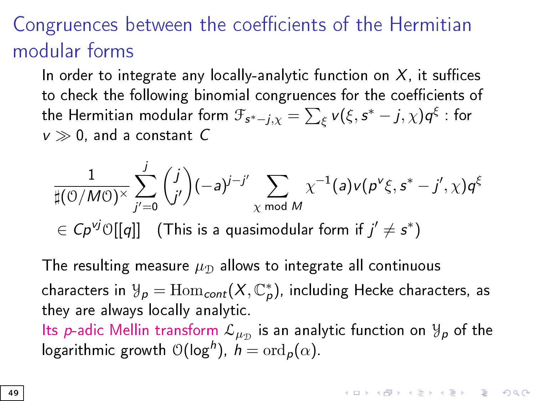## Congruences between the coefficients of the Hermitian modular forms

In order to integrate any locally-analytic function on  $X$ , it suffices to check the following binomial congruences for the coefficients of the Hermitian modular form  $\mathfrak{F}_{\mathsf{s}^* - j, \chi} = \sum_\xi \mathsf{v}(\xi, \mathsf{s}^* - j, \chi) \mathsf{q}^\xi$  : for  $v \gg 0$ , and a constant C

$$
\frac{1}{\sharp(\mathcal{O}/M\mathcal{O})^{\times}}\sum_{j'=0}^j\binom{j}{j'}(-a)^{j-j'}\sum_{\chi\bmod{M}}\chi^{-1}(a)\mathsf{v}(p^{\mathsf{v}}\xi,s^*-j',\chi)q^{\xi}
$$

 $\mathcal{L} \in C \rho^{\nu j} \mathbb{O}[[q]]$  (This is a quasimodular form if  $j' \neq s^* )$ 

The resulting measure  $\mu_{\rm D}$  allows to integrate all continuous characters in  $\mathcal{Y}_\rho = \mathrm{Hom}_{cont}(X,\mathbb{C}_\rho^*),$  including Hecke characters, as they are always locally analytic.

Its  $p$ -adic Mellin transform  $\mathcal{L}_{\mu_\mathcal{D}}$  is an analytic function on  $\mathcal{Y}_\bm{\rho}$  of the logarithmic growth  $\mathcal{O}(\log^h)$ ,  $h = \text{ord}_p(\alpha)$ .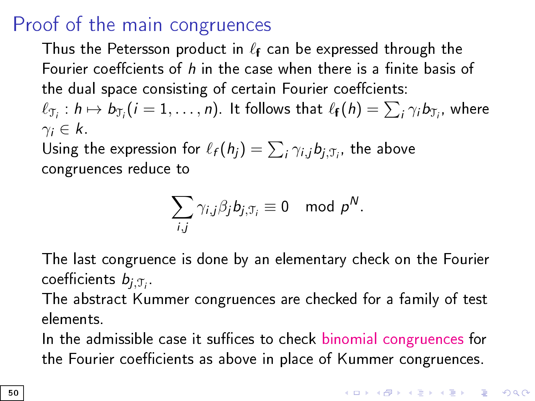## Proof of the main congruences

Thus the Petersson product in  $\ell_f$  can be expressed through the Fourier coeffcients of  $h$  in the case when there is a finite basis of the dual space consisting of certain Fourier coeffcients:

 $\ell_{\mathfrak{T}_i}: h \mapsto \mathcal{b}_{\mathfrak{T}_i} (i=1,\ldots, n)$ . It follows that  $\ell_{\mathbf{f}}(h) = \sum_i \gamma_i \mathcal{b}_{\mathfrak{T}_i},$  where  $\gamma_i \in k$ 

Using the expression for  $\ell_f (h_j) = \sum_i \gamma_{i,j} b_{j,\mathfrak{T}_i}$ , the above congruences reduce to

$$
\sum_{i,j} \gamma_{i,j} \beta_j b_{j,\mathfrak{T}_i} \equiv 0 \mod p^N.
$$

The last congruence is done by an elementary check on the Fourier coefficients  $b_{j,\mathfrak{T}_i}$  .

The abstract Kummer congruences are checked for a family of test elements.

In the admissible case it suffices to check binomial congruences for the Fourier coefficients as above in place of Kummer congruences.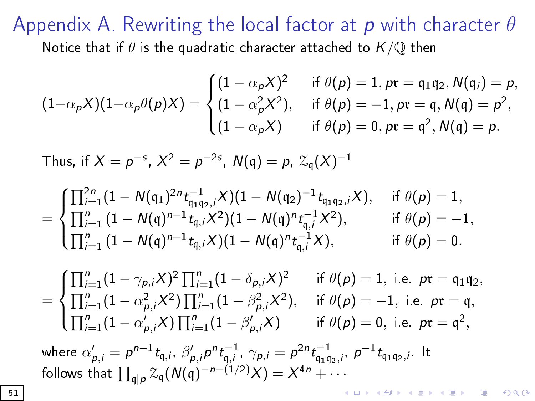#### Appendix A. Rewriting the local factor at p with character  $\theta$ Notice that if  $\theta$  is the quadratic character attached to  $K/\mathbb{Q}$  then

$$
(1-\alpha_p X)(1-\alpha_p \theta(p)X) = \begin{cases} (1-\alpha_p X)^2 & \text{if } \theta(p) = 1, pr = q_1 q_2, N(q_i) = p, \\ (1-\alpha_p^2 X^2), & \text{if } \theta(p) = -1, pr = q, N(q) = p^2, \\ (1-\alpha_p X) & \text{if } \theta(p) = 0, pr = q^2, N(q) = p. \end{cases}
$$

Thus, if  $X = p^{-s}$ ,  $X^2 = p^{-2s}$ ,  $N(q) = p$ ,  $\mathcal{Z}_q(X)^{-1}$ 

$$
=\begin{cases}\prod_{i=1}^{2n}(1-N(q_1)^{2n}t_{q_1q_2,i}^{-1}X)(1-N(q_2)^{-1}\,t_{q_1q_2,i}X),&\text{ if }\theta(p)=1,\\\prod_{i=1}^{n}(1-N(q)^{n-1}\,t_{q,i}X^2)(1-N(q)^{n}t_{q,i}^{-1}X^2),&\text{ if }\theta(p)=-1,\\ \prod_{i=1}^{n}(1-N(q)^{n-1}\,t_{q,i}X)(1-N(q)^{n}t_{q,i}^{-1}X),&\text{ if }\theta(p)=0.\end{cases}
$$

=  $\int$  $\int d\vec{r}$  $\overline{C}$  $\prod_{i=1}^{n} (1 - \gamma_{p,i}X)^2 \prod_{i=1}^{n} (1 - \delta_{p,i}X)^2$  if  $\theta(p) = 1$ , i.e.  $p\mathfrak{r} = \mathfrak{q}_1\mathfrak{q}_2$ ,  $\prod_{i=1}^{n} (1 - \alpha_{p,i}^2 X^2) \prod_{i=1}^{n} (1 - \beta_{p,i}^2 X^2), \text{ if } \theta(p) = -1, \text{ i.e. } pr = \mathfrak{q},$  $\prod_{i=1}^{n} (1 - \alpha'_{p,i}X) \prod_{i=1}^{n} (1 - \beta'_{p,i}X)$  if  $\theta(p) = 0$ , i.e.  $p\mathfrak{r} = \mathfrak{q}^2$ ,

where  $\alpha'_{p,i} = \rho^{n-1} t_{\mathfrak{q},i}, \ \beta'_{p,i} \rho^n t_{\mathfrak{q},i}^{-1}, \ \gamma_{p,i} = \rho^{2n} t_{\mathfrak{q}_1 \mathfrak{q}_2,i}, \ \rho^{-1} t_{\mathfrak{q}_1 \mathfrak{q}_2,i}.$  It follows that  $\prod_{\mathfrak{q} | p} \mathcal{Z}_{\mathfrak{q}}(N(\mathfrak{q})^{-n-(1/2)}X) = X^{4n} + \cdots$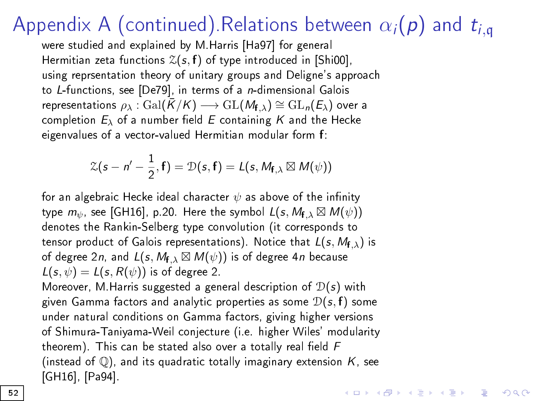## Appendix A (continued). Relations between  $\alpha_i(\boldsymbol{p})$  and  $t_{i,q}$

were studied and explained by M.Harris [Ha97] for general Hermitian zeta functions  $\mathcal{Z}(s,f)$  of type introduced in [Shi00], using reprsentation theory of unitary groups and Deligne's approach to L-functions, see [De79], in terms of a n-dimensional Galois representations  $\rho_{\lambda}$ : Gal $(\bar{K}/K) \longrightarrow$  GL $(M_{f,\lambda}) \cong$  GL $_n(E_{\lambda})$  over a completion  $E_{\lambda}$  of a number field E containing K and the Hecke eigenvalues of a vector-valued Hermitian modular form f:

$$
\mathcal{Z}(s-n'-\frac{1}{2},\mathbf{f})=\mathcal{D}(s,\mathbf{f})=L(s,M_{\mathbf{f},\lambda}\boxtimes M(\psi))
$$

for an algebraic Hecke ideal character  $\psi$  as above of the infinity type  $m_\psi$ , see [GH16], p.20. Here the symbol  $\mathcal{L}(s, M_{\mathbf{f}, \lambda} \boxtimes M(\psi))$ denotes the Rankin-Selberg type convolution (it corresponds to tensor product of Galois representations). Notice that  $L(s, M_{f, \lambda})$  is of degree 2n, and  $L(s, M_{\mathbf{f},\lambda} \boxtimes M(\psi))$  is of degree 4n because  $L(s, \psi) = L(s, R(\psi))$  is of degree 2.

Moreover, M Harris suggested a general description of  $\mathcal{D}(s)$  with given Gamma factors and analytic properties as some  $\mathcal{D}(s, f)$  some under natural conditions on Gamma factors, giving higher versions of Shimura-Taniyama-Weil conjecture (i.e. higher Wiles' modularity theorem). This can be stated also over a totally real field  $F$ (instead of  $\mathbb{Q}$ [\), and](#page-67-2) its quadratic totally imaginary extension K, see [\[GH16\], \[](#page-64-1)Pa94].

**KORKAR KERKER EL VOLO**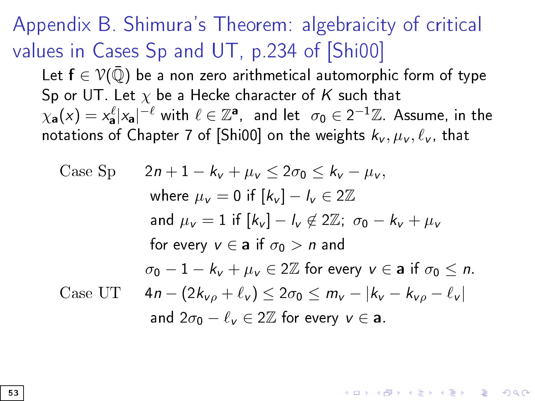<span id="page-52-0"></span>Appendix B. Shimura's Theorem: algebraicity of critical values in Cases Sp and UT, p.234 of [\[Shi00\]](#page-69-0)

Let  $f \in \mathcal{V}(\overline{\mathbb{Q}})$  be a non zero arithmetical automorphic form of type Sp or UT. Let  $\chi$  be a Hecke character of K such that  $\chi_{\bf a}(x)=x_{\bf a}^\ell |x_{\bf a}|^{-\ell}$  with  $\ell\in \mathbb{Z}^{\bf a},~$  and let  $~\sigma_0\in 2^{-1}\mathbb{Z}$ . Assume, in the notations of Chapter 7 of [\[Shi00\]](#page-69-0) on the weights  $k_v, \mu_v, \ell_v$ , that

Case Sp 
$$
2n + 1 - k_v + \mu_v \le 2\sigma_0 \le k_v - \mu_v
$$
,  
\nwhere  $\mu_v = 0$  if  $[k_v] - l_v \in 2\mathbb{Z}$   
\nand  $\mu_v = 1$  if  $[k_v] - l_v \notin 2\mathbb{Z}$ ;  $\sigma_0 - k_v + \mu_v$   
\nfor every  $v \in \mathbf{a}$  if  $\sigma_0 > n$  and  
\n $\sigma_0 - 1 - k_v + \mu_v \in 2\mathbb{Z}$  for every  $v \in \mathbf{a}$  if  $\sigma_0 \le n$ .  
\nCase UT  $4n - (2k_{v\rho} + \ell_v) \le 2\sigma_0 \le m_v - |k_v - k_{v\rho} - \ell_v|$   
\nand  $2\sigma_0 - \ell_v \in 2\mathbb{Z}$  for every  $v \in \mathbf{a}$ .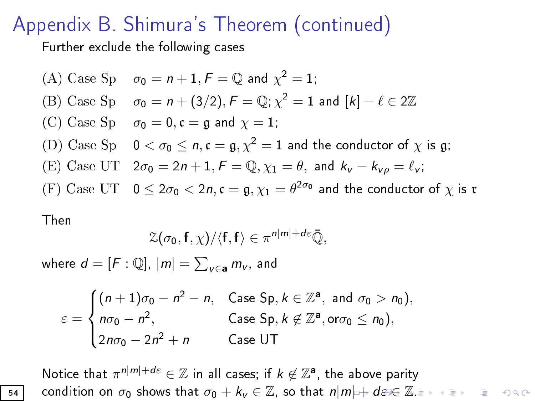## <span id="page-53-0"></span>Appendix B. Shimura's Theorem (continued)

Further exclude the following cases

\n- (A) Case Sp 
$$
\sigma_0 = n + 1
$$
,  $F = \mathbb{Q}$  and  $\chi^2 = 1$ ;
\n- (B) Case Sp  $\sigma_0 = n + (3/2)$ ,  $F = \mathbb{Q}$ ;  $\chi^2 = 1$  and  $[k] - \ell \in 2\mathbb{Z}$
\n- (C) Case Sp  $\sigma_0 = 0$ ,  $\mathfrak{c} = \mathfrak{g}$  and  $\chi = 1$ ;
\n- (D) Case Sp  $0 < \sigma_0 \le n$ ,  $\mathfrak{c} = \mathfrak{g}$ ,  $\chi^2 = 1$  and the conductor of  $\chi$  is  $\mathfrak{g}$ ;
\n- (E) Case UT  $2\sigma_0 = 2n + 1$ ,  $F = \mathbb{Q}$ ,  $\chi_1 = \theta$ , and  $k_v - k_{v\rho} = \ell_v$ ;
\n- (F) Case UT  $0 \le 2\sigma_0 < 2n$ ,  $\mathfrak{c} = \mathfrak{g}$ ,  $\chi_1 = \theta^{2\sigma_0}$  and the conductor of  $\chi$  is  $\mathfrak{r}$
\n

Then

$$
\mathcal{Z}(\sigma_0,\mathbf{f},\chi)/\langle \mathbf{f},\mathbf{f}\rangle\in \pi^{n|m|+d\varepsilon}\bar{\mathbb{Q}},
$$

where  $d=[F:\mathbb{Q}], |m|=\sum_{v\in \mathbf{a}} m_v$ , and

$$
\varepsilon = \begin{cases} (n+1)\sigma_0 - n^2 - n, & \text{Case Sp}, k \in \mathbb{Z}^{\mathbf{a}}, \text{ and } \sigma_0 > n_0), \\ n\sigma_0 - n^2, & \text{Case Sp}, k \not\in \mathbb{Z}^{\mathbf{a}}, \text{or} \sigma_0 \leq n_0), \\ 2n\sigma_0 - 2n^2 + n & \text{Case UT} \end{cases}
$$

Notice that  $\pi^{n|m|+d\varepsilon}\in\mathbb{Z}$  in all cases; if  $k\not\in\mathbb{Z}^{\mathbf{a}},$  the above parity **54** con[d](#page-52-0)ition on  $\sigma_0$  $\sigma_0$  $\sigma_0$  shows that  $\sigma_0 + k_v \in \mathbb{Z}$  $\sigma_0 + k_v \in \mathbb{Z}$  $\sigma_0 + k_v \in \mathbb{Z}$  $\sigma_0 + k_v \in \mathbb{Z}$  $\sigma_0 + k_v \in \mathbb{Z}$ , so that  $n|m| + d\varepsilon \in \mathbb{Z}$ [.](#page-0-0)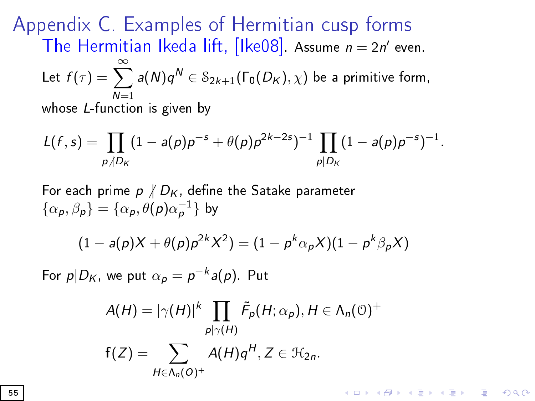Appendix C. Examples of Hermitian cusp forms The Hermitian Ikeda lift,  $[$ Ike08 $]$ . Assume  $n = 2n'$  even. Let  $f(\tau) = \sum_{n=0}^{\infty}$  $N=1$  $a(N)q^N \in \mathcal{S}_{2k+1}(\Gamma_0(D_K), \chi)$  be a primitive form, whose L-function is given by

$$
L(f,s)=\prod_{p\mid D_K}(1-a(p)p^{-s}+\theta(p)p^{2k-2s})^{-1}\prod_{p\mid D_K}(1-a(p)p^{-s})^{-1}.
$$

For each prime  $p \nmid D_K$ , define the Satake parameter  $\{\alpha_{p},\beta_{p}\}=\{\alpha_{p},\theta(p)\alpha_{p}^{-1}\}$  by

$$
(1 - a(p)X + \theta(p)p^{2k}X^{2}) = (1 - p^{k}\alpha_{p}X)(1 - p^{k}\beta_{p}X)
$$

For  $p|D_K$ , we put  $\alpha_p = p^{-k}$ a $(p)$ . Put

$$
A(H) = |\gamma(H)|^k \prod_{p|\gamma(H)} \tilde{F}_p(H; \alpha_p), H \in \Lambda_n(0)^+
$$
  

$$
f(Z) = \sum_{H \in \Lambda_n(0)^+} A(H) q^H, Z \in \mathcal{H}_{2n}.
$$

**KORKA SERKER STRACK**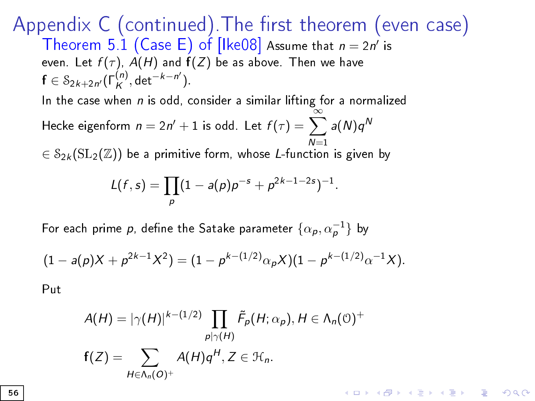Appendix  $C$  (continued). The first theorem (even case) Theorem 5.1 (Case E) of [Ike08] Assume that  $n = 2n'$  is even. Let  $f(\tau)$ ,  $A(H)$  and  $f(Z)$  be as above. Then we have  $f \in \mathcal{S}_{2k+2n'}(\Gamma_K^{(n)}, \det^{-k-n'}).$ 

In the case when  $n$  is odd, consider a similar lifting for a normalized

Hecke eigenform  $n=2n'+1$  is odd. Let  $f(\tau)=\sum^\infty_{n=2a}a(N)q^N$  $\mathcal{E} \in \mathcal{S}_{2k}(\mathrm{SL}_2(\mathbb{Z}))$  be a primitive form, whose  $L$ -function is given by

$$
L(f,s)=\prod_{p}(1-a(p)p^{-s}+p^{2k-1-2s})^{-1}.
$$

For each prime  $p$ , define the Satake parameter  $\{\alpha_{\bm p}, \alpha_{\bm p}^{-1}\}$  by

$$
(1-a(p)X + p^{2k-1}X^2) = (1 - p^{k-(1/2)}\alpha_p X)(1 - p^{k-(1/2)}\alpha^{-1}X).
$$

Put

$$
A(H) = |\gamma(H)|^{k - (1/2)} \prod_{p \mid \gamma(H)} \tilde{F}_p(H; \alpha_p), H \in \Lambda_n(\mathbb{O})^+
$$
  

$$
f(Z) = \sum_{H \in \Lambda_n(O)^+} A(H) q^H, Z \in \mathcal{H}_n.
$$

**KORKA SERKER STRACK**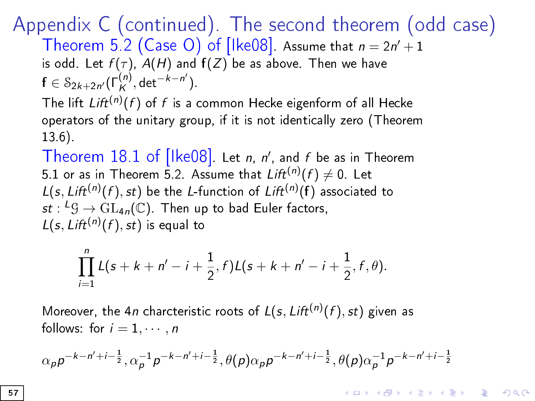Appendix C (continued). The second theorem (odd case) Theorem 5.2 (Case O) of [Ike08]. Assume that  $n = 2n' + 1$ 

is odd. Let  $f(\tau)$ ,  $A(H)$  and  $f(Z)$  be as above. Then we have  $f \in \mathcal{S}_{2k+2n'}(\Gamma_K^{(n)}, \det^{-k-n'}).$ 

The lift  $\text{Lift}^{(n)}(f)$  of  $f$  is a common Hecke eigenform of all Hecke operators of the unitary gr[oup, if it](#page-62-0) is not identically zero (Theorem 13.6).

Theorem  $18.1$  of [Ike08]. Let *n*, *n'*, and *f* be as in Theorem 5.1 or as in Theorem 5.2. Assume that  $\mathit{Lift}^{(n)}(f) \neq 0$ . Let  $L(s, \text{Lift}^{(n)}(f), st)$  be the L-function of  $\text{Lift}^{(n)}(f)$  associated to  $st: {}^{\mathcal{L}}\mathcal{G} \rightarrow \mathrm{GL}_{4n}(\mathbb{C})$ . Then up to bad Euler factors,  $L(s, \text{Lift}^{(n)}(f), st)$  is equal to

$$
\prod_{i=1}^n L(s+k+n'-i+\frac{1}{2},f)L(s+k+n'-i+\frac{1}{2},f,\theta).
$$

Moreover, the 4*n* charcteristic roots of  $L(s,Lift^{(n)}(f),st)$  given as follows: for  $i = 1, \cdots, n$ 

$$
\alpha_{p}p^{-k-n'+i-\frac{1}{2}}, \alpha_{p}^{-1}p^{-k-n'+i-\frac{1}{2}}, \theta(p)\alpha_{p}p^{-k-n'+i-\frac{1}{2}}, \theta(p)\alpha_{p}^{-1}p^{-k-n'+i-\frac{1}{2}}
$$

**KORKAR KERKER EL VOLO**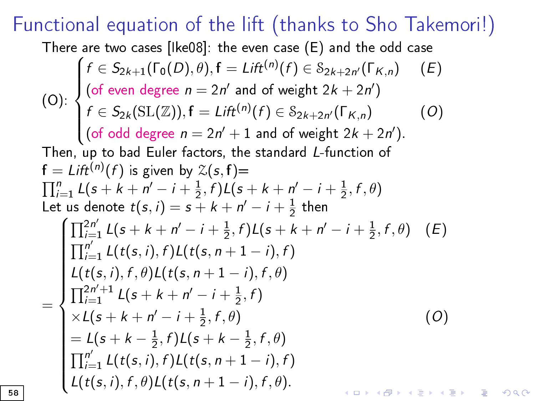## Functional equation [of th](#page-62-0)e lift (thanks to Sho Takemori!)

There are two cases [Ike08]: the even case (E) and the odd case

$$
\int_{0}^{f} f(t) \, ds = \lim_{n \to \infty} f(n) \, dt \quad \text{(a)} \quad \text{(b)} \quad \text{(c)} \quad \text{(d)} \quad \text{(e)} \quad \text{(e)} \quad \text{(f)} \quad \text{(e)} \quad \text{(e)} \quad \text{(f)} \quad \text{(e)} \quad \text{(f)} \quad \text{(e)} \quad \text{(e)} \quad \text{(f)} \quad \text{(e)} \quad \text{(f)} \quad \text{(g)} \quad \text{(h)} \quad \text{(i)} \quad \text{(j)} \quad \text{(k)} \quad \text{(l)} \quad \text{(l)} \quad \text{(l)} \quad \text{(l)} \quad \text{(l)} \quad \text{(l)} \quad \text{(l)} \quad \text{(l)} \quad \text{(l)} \quad \text{(l)} \quad \text{(l)} \quad \text{(l)} \quad \text{(l)} \quad \text{(l)} \quad \text{(l)} \quad \text{(l)} \quad \text{(l)} \quad \text{(l)} \quad \text{(l)} \quad \text{(l)} \quad \text{(l)} \quad \text{(l)} \quad \text{(l)} \quad \text{(l)} \quad \text{(l)} \quad \text{(l)} \quad \text{(l)} \quad \text{(l)} \quad \text{(l)} \quad \text{(l)} \quad \text{(l)} \quad \text{(l)} \quad \text{(l)} \quad \text{(l)} \quad \text{(l)} \quad \text{(l)} \quad \text{(l)} \quad \text{(l)} \quad \text{(l)} \quad \text{(l)} \quad \text{(l)} \quad \text{(l)} \quad \text{(l)} \quad \text{(l)} \quad \text{(l)} \quad \text{(l)} \quad \text{(l)} \quad \text{(l)} \quad \text{(l)} \quad \text{(l)} \quad \text{(l)} \quad \text{(l)} \quad \text{(l)} \quad \text{(l)} \quad \text{(l)} \quad \text{(l)} \quad \text{(l)} \quad \text{(l)} \quad \text{(l)} \quad \text{(l)} \quad \text{(l)} \quad \text{(l)} \quad \text{(l)} \quad \text{(l)} \quad \text{(l)} \quad \text{(l)} \quad \text{(l)} \quad \text{(l)} \quad \text{(l)} \quad \text{(l)} \quad \text{(l)} \quad \text{(l)} \quad \text{(l)} \quad \text{(l)} \quad \text{(l)} \quad \text{(l)} \quad \text{(l)} \quad \text{(l)} \quad \text{(l)} \quad \text{(l)} \quad \text{(l)} \quad \text{(l)} \
$$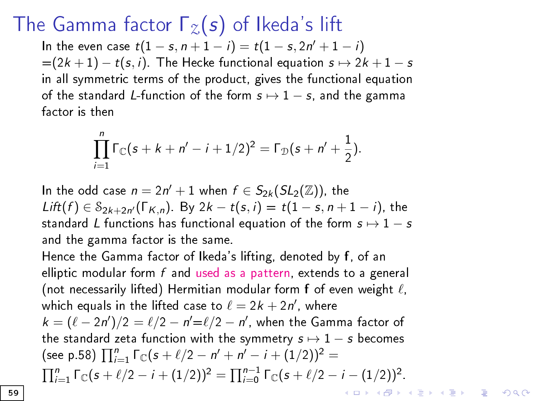## <span id="page-58-0"></span>The Gamma factor  $\Gamma_{2}(s)$  of Ikeda's lift

In the even case  $t(1-s, n+1-i) = t(1-s, 2n'+1-i)$  $=(2k+1)-t(s,i)$ . The Hecke functional equation  $s \mapsto 2k+1-s$ in all symmetric terms of the product, gives the functional equation of the standard L-function of the form  $s \mapsto 1 - s$ , and the gamma factor is then

$$
\prod_{i=1}^n \Gamma_{\mathbb{C}}(s + k + n' - i + 1/2)^2 = \Gamma_{\mathbb{D}}(s + n' + \frac{1}{2}).
$$

In the odd case  $n = 2n' + 1$  when  $f \in S_{2k}(SL_2(\mathbb{Z}))$ , the  $Lift(f) \in \mathcal{S}_{2k+2n'}(\Gamma_{K,n})$ . By  $2k-t(s,i) = t(1-s,n+1-i)$ , the standard L functions has functional equation of the form  $s \mapsto 1 - s$ and the gamma factor is the same.

Hence the Gamma factor of Ikeda's lifting, denoted by f, of an elliptic modular form  $f$  and used as a pattern, extends to a general (not necessarily lifted) Hermitian modular form  $f$  of even weight  $\ell$ , which equals in the lifted case to  $\ell = 2k + 2n'$ , where  $k = (\ell - 2n')/2 = \ell/2 - n' = \ell/2 - n'$ , when the Gamma factor of the standard zeta function with the symmetry  $s \mapsto 1 - s$  becomes (see p.58)  $\prod_{i=1}^{n} \Gamma_{\mathbb{C}}(s + \ell/2 - n' + n' - i + (1/2))^2 =$  $\prod_{i=1}^{n} \Gamma_{\mathbb{C}}(s + \ell/2 - i + (1/2))^2 = \prod_{i=0}^{n-1} \Gamma_{\mathbb{C}}(s + \ell/2 - i - (1/2))^2.$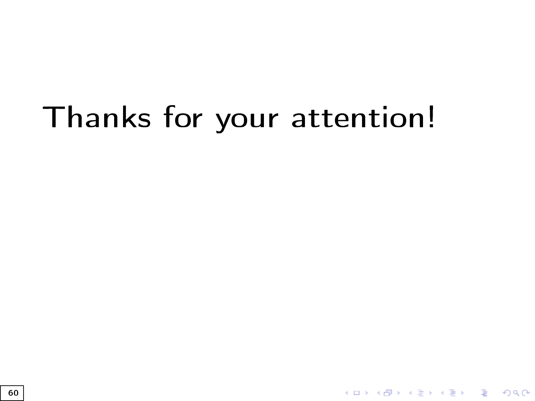# <span id="page-59-0"></span>Thanks for your attention!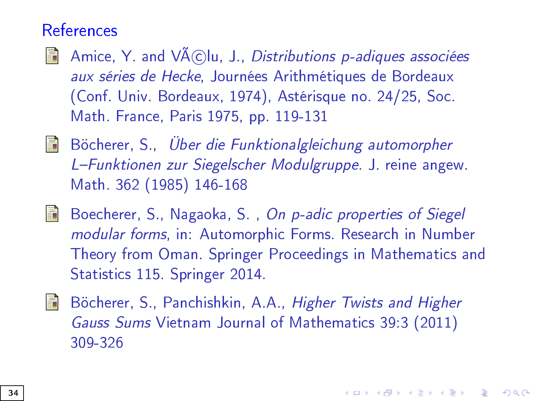#### **References**

- <span id="page-60-1"></span>Amice, Y. and  $V\widetilde{A}(C)$ lu, J., Distributions p-adiques associées 譶 aux séries de Hecke, Journées Arithmétiques de Bordeaux (Conf. Univ. Bordeaux, 1974), Astérisque no. 24/25, Soc. Math. France, Paris 1975, pp. 119-131
- $\Box$  Böcherer, S., Über die Funktionalgleichung automorpher L-Funktionen zur Siegelscher Modulgruppe. J. reine angew. Math. 362 (1985) 146-168
- 暈 Boecherer, S., Nagaoka, S. , On p-adic properties of Siegel modular forms, in: Automorphic Forms. Research in Number Theory from Oman. Springer Proceedings in Mathematics and Statistics 115. Springer 2014.
- <span id="page-60-0"></span>昴 Böcherer, S., Panchishkin, A.A., Higher Twists and Higher Gauss Sums Vietnam Journal of Mathematics 39:3 (2011) 309-326

4 0 > 4 4 + 4 = > 4 = > = + + 0 4 0 +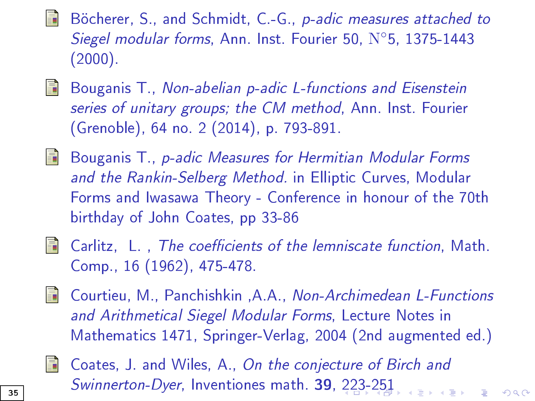- Böcherer, S., and Schmidt, C.-G., p-adic measures attached to Siegel modular forms, Ann. Inst. Fourier 50, N◦5, 1375-1443 (2000).
- Bouganis T., Non-abelian p-adic L-functions and Eisenstein 螶 series of unitary groups; the CM method, Ann. Inst. Fourier (Grenoble), 64 no. 2 (2014), p. 793-891.
- <span id="page-61-0"></span>**Experts** Bouganis T., p-adic Measures for Hermitian Modular Forms and the Rankin-Selberg Method. in Elliptic Curves, Modular Forms and Iwasawa Theory - Conference in honour of the 70th birthday of John Coates, pp 33-86
- 螶
	- Carlitz, L., The coefficients of the lemniscate function, Math. Comp., 16 (1962), 475-478.
- <span id="page-61-1"></span>Courtieu, M., Panchishkin ,A.A., Non-Archimedean L-Functions and Arithmetical Siegel Modular Forms, Lecture Notes in Mathematics 1471, Springer-Verlag, 2004 (2nd augmented ed.)



Coates, J. and Wiles, A., On the conjecture of Birch and Swinnerton-Dyer, Inventiones math. 39, [22](#page-33-0)[3-](#page-35-0)[2](#page-58-0)[51](#page-59-0)  $\mathcal{A} \oplus \mathcal{B} \rightarrow \mathcal{A} \oplus \mathcal{B} \rightarrow \mathcal{B} \oplus \mathcal{B}$ 

 $000$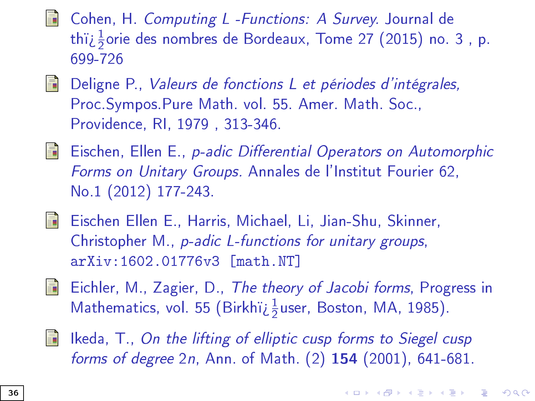- Cohen, H. Computing L -Functions: A Survey. Journal de thï $\dot{\iota}$  $\frac{1}{2}$ orie des nombres de Bordeaux, Tome 27 (2015) no. 3 , p. 699-726
- $\Box$  Deligne P., Valeurs de fonctions L et périodes d'intégrales, Proc.Sympos.Pure Math. vol. 55. Amer. Math. Soc., Providence, RI, 1979 , 313-346.
- Eischen, Ellen E., p-adic Differential Operators on Automorphic 67 Forms on Unitary Groups. Annales de l'Institut Fourier 62, No.1 (2012) 177-243.
- Eischen Ellen E., Harris, Michael, Li, Jian-Shu, Skinner, Christopher M., p-adic L-functions for unitary groups, arXiv:1602.01776v3 [math.NT]
- <span id="page-62-0"></span>**Eichler, M., Zagier, D., The theory of Jacobi forms, Progress in** Mathematics, vol. 55 (Birkhï $\frac{1}{2}$ user, Boston, MA, 1985).
	- Ikeda, T., On the lifting of elliptic cusp forms to Siegel cusp forms of degree 2n, Ann. of Math. (2) 154 (2001), 641-681.

4 0 > 4 4 + 4 = > 4 = > = + + 0 4 0 +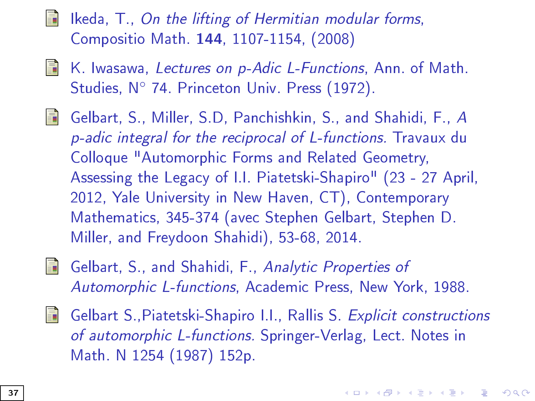Ikeda, T., On the lifting of Hermitian modular forms, Compositio Math. 144, 1107-1154, (2008)

- K. Iwasawa, Lectures on p-Adic L-Functions, Ann. of Math. 螶 Studies, N◦ 74. Princeton Univ. Press (1972).
- 冨 Gelbart, S., Miller, S.D, Panchishkin, S., and Shahidi, F., A p-adic integral for the reciprocal of L-functions. Travaux du Colloque "Automorphic Forms and Related Geometry, Assessing the Legacy of I.I. Piatetski-Shapiro" (23 - 27 April, 2012, Yale University in New Haven, CT), Contemporary Mathematics, 345-374 (avec Stephen Gelbart, Stephen D. Miller, and Freydoon Shahidi), 53-68, 2014.



Gelbart, S., and Shahidi, F., Analytic Properties of Automorphic L-functions, Academic Press, New York, 1988.

歸 Gelbart S.,Piatetski-Shapiro I.I., Rallis S. Explicit constructions of automorphic L-functions. Springer-Verlag, Lect. Notes in Math. N 1254 (1987) 152p.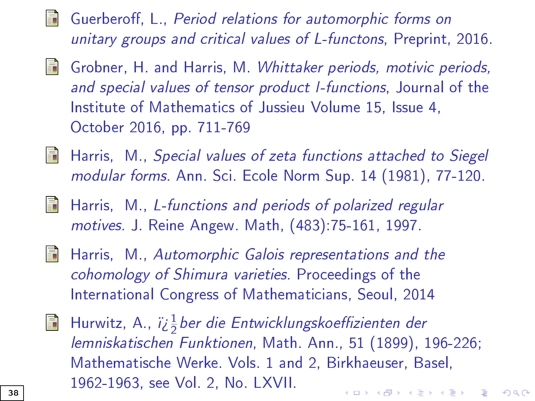- Guerberoff, L., Period relations for automorphic forms on unitary groups and critical values of L-functons, Preprint, 2016.
- <span id="page-64-1"></span>譶 Grobner, H. and Harris, M. Whittaker periods, motivic periods, and special values of tensor product l-functions, Journal of the Institute of Mathematics of Jussieu Volume 15, Issue 4, October 2016, pp. 711-769
- **START OF BUILDING** Harris, M., Special values of zeta functions attached to Siegel modular forms. Ann. Sci. Ecole Norm Sup. 14 (1981), 77-120.
- <span id="page-64-0"></span>暈 Harris, M., L-functions and periods of polarized regular motives. J. Reine Angew. Math, (483):75-161, 1997.
- **FREE** Harris, M., Automorphic Galois representations and the cohomology of Shimura varieties. Proceedings of the International Congress of Mathematicians, Seoul, 2014
- Hurwitz, A., ï¿ $\frac{1}{2}$ ber die Entwicklungskoeffizienten der F. lemniskatischen Funktionen, Math. Ann., 51 (1899), 196-226; Mathematische Werke. Vols. 1 and 2, Birkhaeuser, Basel, 1962-1963, see Vol. 2, No. LXVII. **KORKAR KERKER EL VOLO**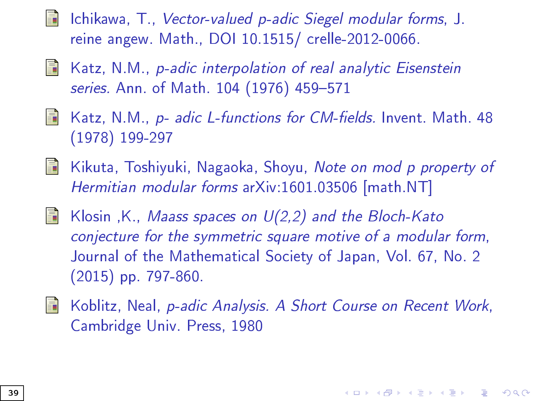- Ichikawa, T., Vector-valued p-adic Siegel modular forms, J. reine angew. Math., DOI 10.1515/ crelle-2012-0066.
- Katz, N.M., p-adic interpolation of real analytic Eisenstein 螶 series. Ann. of Math. 104 (1976) 459-571
- 歸 Katz, N.M., p- adic L-functions for CM-fields. Invent. Math. 48 (1978) 199-297
- Kikuta, Toshiyuki, Nagaoka, Shoyu, Note on mod p property of S. Hermitian modular forms arXiv:1601.03506 [math.NT]
- F Klosin ,K., Maass spaces on U(2,2) and the Bloch-Kato conjecture for the symmetric square motive of a modular form, Journal of the Mathematical Society of Japan, Vol. 67, No. 2 (2015) pp. 797-860.
- <span id="page-65-0"></span>Koblitz, Neal, p-adic Analysis. A Short Course on Recent Work, Cambridge Univ. Press, 1980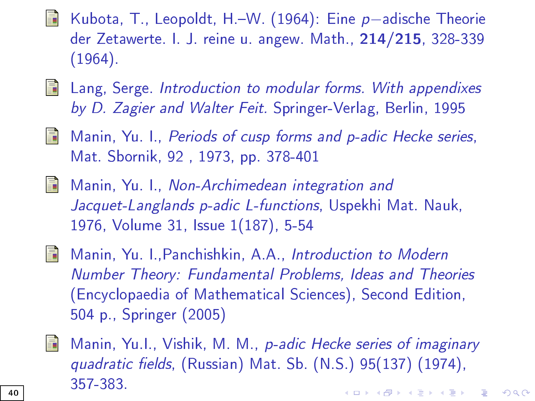- Kubota, T., Leopoldt, H.W. (1964): Eine p−adische Theorie der Zetawerte. I. J. reine u. angew. Math., 214/215, 328-339 (1964).
- **E** Lang, Serge. Introduction to modular forms. With appendixes by D. Zagier and Walter Feit. Springer-Verlag, Berlin, 1995
- <span id="page-66-0"></span>**Manin, Yu. I., Periods of cusp forms and p-adic Hecke series,** Mat. Sbornik, 92 , 1973, pp. 378-401
- <span id="page-66-1"></span>靠 Manin, Yu. I., Non-Archimedean integration and Jacquet-Langlands p-adic L-functions, Uspekhi Mat. Nauk, 1976, Volume 31, Issue 1(187), 5-54
- F. Manin, Yu. I.,Panchishkin, A.A., Introduction to Modern Number Theory: Fundamental Problems, Ideas and Theories (Encyclopaedia of Mathematical Sciences), Second Edition, 504 p., Springer (2005)
- <span id="page-66-2"></span>
- Manin, Yu.I., Vishik, M. M., p-adic Hecke series of imaginary quadratic fields, (Russian) Mat. Sb. (N.S.) 95(137) (1974), 357-383. **KORKA BRADE KORA**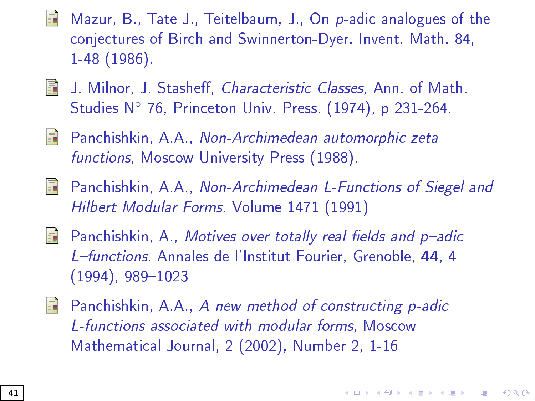- Mazur, B., Tate J., Teitelbaum, J., On p-adic analogues of the conjectures of Birch and Swinnerton-Dyer. Invent. Math. 84, 1-48 (1986).
- J. Milnor, J. Stasheff, Characteristic Classes, Ann. of Math. E. Studies N◦ 76, Princeton Univ. Press. (1974), p 231-264.
- <span id="page-67-0"></span>Panchishkin, A.A., Non-Archimedean automorphic zeta E. functions, Moscow University Press (1988).
- <span id="page-67-1"></span>S. Panchishkin, A.A., Non-Archimedean L-Functions of Siegel and Hilbert Modular Forms. Volume 1471 (1991)
- <span id="page-67-2"></span>鼂 Panchishkin, A., Motives over totally real fields and  $p$ -adic L-functions. Annales de l'Institut Fourier, Grenoble, 44, 4  $(1994)$ , 989-1023
- Panchishkin, A.A., A new method of constructing p-adic 螶 L-functions associated with modular forms, Moscow Mathematical Journal, 2 (2002), Number 2, 1-16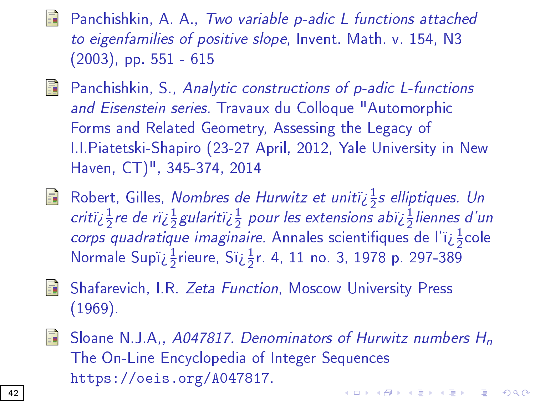Panchishkin, A. A., Two variable p-adic L functions attached to eigenfamilies of positive slope, Invent. Math. v. 154, N3 (2003), pp. 551 - 615

- **Panchishkin, S., Analytic constructions of p-adic L-functions** and Eisenstein series. Travaux du Colloque "Automorphic Forms and Related Geometry, Assessing the Legacy of I.I.Piatetski-Shapiro (23-27 April, 2012, Yale University in New Haven, CT)", 345-374, 2014
- Robert, Gilles, *Nombres de Hurwitz et unitï* $\zeta \frac{1}{2}$ *s elliptiques. Un* 暈 critï $\iota$   $\frac{1}{2}$ re de rï $\iota$   $\frac{1}{2}$ gularitï $\iota$   $\frac{1}{2}$  pour les extensions abï $\iota$   $\frac{1}{2}$ liennes d'un corps quadratique imaginaire. Annales scientifiques de l'ï $i\frac{1}{2}$ cole Normale Supï $\dot{\iota}_{2}^{\frac{1}{2}}$ rieure, Sï $\dot{\iota}_{2}^{\frac{1}{2}}$ r. 4, 11 no. 3, 1978 p. 297-389
- **Shafarevich, I.R. Zeta Function, Moscow University Press** (1969).
- Sloane N.J.A,, A047817. Denominators of Hurwitz numbers  $H_n$ 歸 The On-Line Encyclopedia of Integer Sequences https://oeis.org/A047817. 4 0 > 4 4 + 4 = > 4 = > = + + 0 4 0 +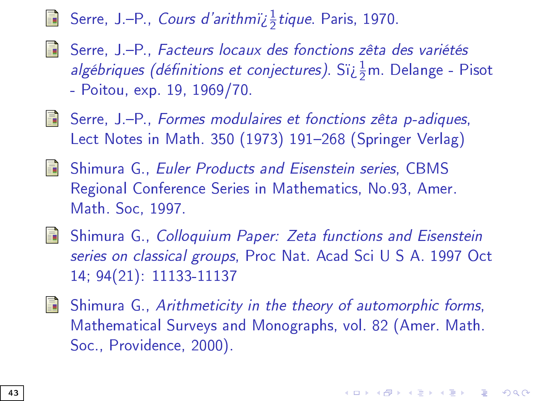# Serre, J.—P., *Cours d'arithmï* $i$   $\frac{1}{2}$ *tique*. Paris, 1970.

- Serre, J.-P., Facteurs locaux des fonctions zêta des variétés *algébriques (définitions et conjectures)*. Sï $\overline{\iota}_2^1$ m. Delange - Pisot - Poitou, exp. 19, 1969/70.
- Serre, J.P., Formes modulaires et fonctions zêta p-adiques, Lect Notes in Math. 350 (1973) 191-268 (Springer Verlag)
- **Shimura G., Euler Products and Eisenstein series, CBMS** Regional Conference Series in Mathematics, No.93, Amer. Math. Soc, 1997.
- Shimura G., Colloquium Paper: Zeta functions and Eisenstein series on classical groups, Proc Nat. Acad Sci U S A. 1997 Oct 14; 94(21): 11133-11137
- <span id="page-69-0"></span> $\Box$  Shimura G., Arithmeticity in the theory of automorphic forms, Mathematical Surveys and Monographs, vol. 82 (Amer. Math. Soc., Providence, 2000).

**KORKAR KERKER EL VOLO**